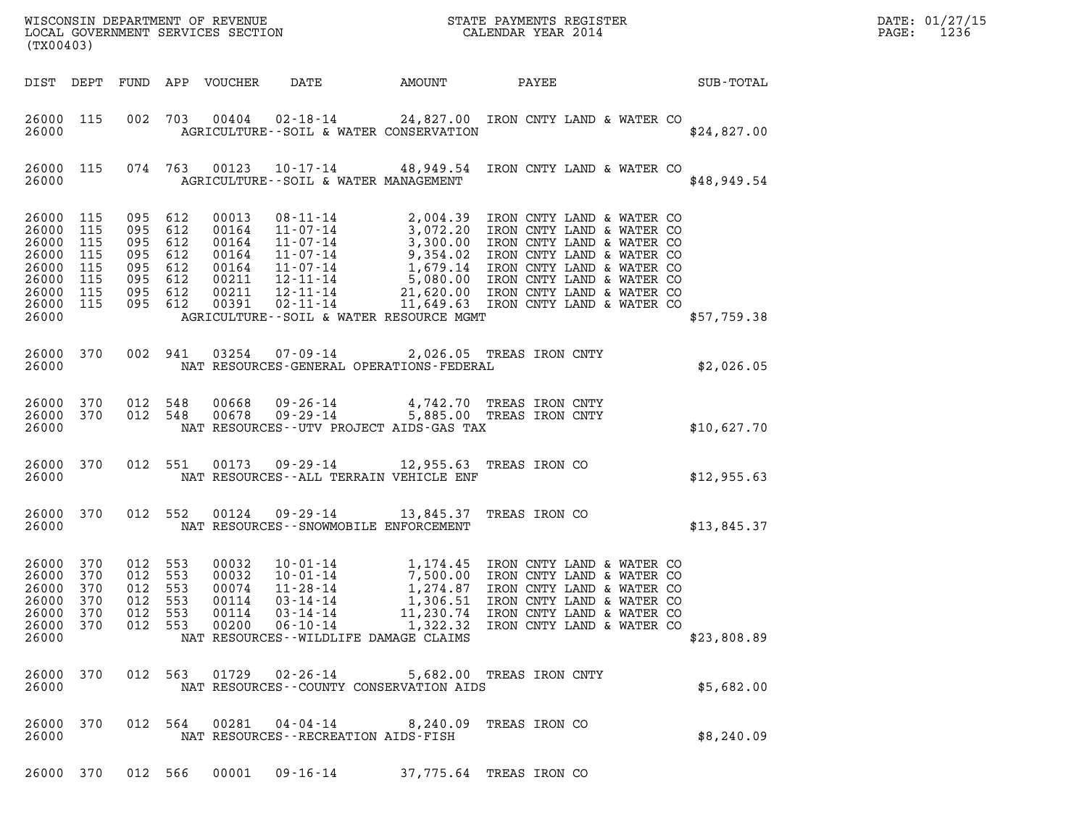| (TX00403)                                                                                     |                                 |                                                                                  |                |                                                    |                                                                                                   |                       |                                                                                                                                                                                                                                        |                  | DATE: 01/27/15<br>1236<br>PAGE: |
|-----------------------------------------------------------------------------------------------|---------------------------------|----------------------------------------------------------------------------------|----------------|----------------------------------------------------|---------------------------------------------------------------------------------------------------|-----------------------|----------------------------------------------------------------------------------------------------------------------------------------------------------------------------------------------------------------------------------------|------------------|---------------------------------|
| DIST DEPT                                                                                     |                                 |                                                                                  |                | FUND APP VOUCHER                                   | DATE                                                                                              | AMOUNT                | PAYEE                                                                                                                                                                                                                                  | <b>SUB-TOTAL</b> |                                 |
| 26000 115<br>26000                                                                            |                                 |                                                                                  |                | 002 703 00404                                      | AGRICULTURE--SOIL & WATER CONSERVATION                                                            |                       | 02-18-14 24,827.00 IRON CNTY LAND & WATER CO                                                                                                                                                                                           | \$24,827.00      |                                 |
| 26000 115<br>26000                                                                            |                                 |                                                                                  | 074 763        | 00123                                              | AGRICULTURE--SOIL & WATER MANAGEMENT                                                              |                       | 10-17-14 48,949.54 IRON CNTY LAND & WATER CO                                                                                                                                                                                           | \$48,949.54      |                                 |
| 26000 115<br>26000<br>26000<br>26000<br>26000 115<br>26000<br>26000 115<br>26000 115<br>26000 | 115<br>115<br>115<br>115        | 095 612<br>095<br>095 612<br>095 612<br>095 612<br>095 612<br>095 612<br>095 612 | 612            |                                                    | AGRICULTURE--SOIL & WATER RESOURCE MGMT                                                           |                       | 00013 08-11-14 2,004.39 IRON CNTY LAND & WATER CO<br>00164 11-07-14 3,072.20 IRON CNTY LAND & WATER CO<br>00164 11-07-14 3,300.00 IRON CNTY LAND & WATER CO<br>00164 11-07-14 9,354.02 IRON CNTY LAND & WATER CO<br>00164 11-07-14 1,6 | \$57,759.38      |                                 |
| 26000 370                                                                                     |                                 | 002 941                                                                          |                | 03254                                              |                                                                                                   |                       | 07-09-14 2,026.05 TREAS IRON CNTY                                                                                                                                                                                                      |                  |                                 |
| 26000                                                                                         |                                 |                                                                                  |                |                                                    | NAT RESOURCES-GENERAL OPERATIONS-FEDERAL                                                          |                       |                                                                                                                                                                                                                                        | \$2,026.05       |                                 |
| 26000 370<br>26000 370<br>26000                                                               |                                 | 012 548<br>012 548                                                               |                | 00668<br>00678                                     | NAT RESOURCES--UTV PROJECT AIDS-GAS TAX                                                           |                       | 09-26-14      4,742.70 TREAS IRON CNTY<br>09-29-14      5,885.00 TREAS IRON CNTY                                                                                                                                                       | \$10,627.70      |                                 |
| 26000 370<br>26000                                                                            |                                 |                                                                                  | 012 551        | 00173                                              | 09-29-14 12,955.63 TREAS IRON CO<br>NAT RESOURCES--ALL TERRAIN VEHICLE ENF                        |                       |                                                                                                                                                                                                                                        | \$12,955.63      |                                 |
| 26000 370<br>26000                                                                            |                                 | 012 552                                                                          |                | 00124                                              | 09-29-14 13,845.37 TREAS IRON CO<br>NAT RESOURCES - - SNOWMOBILE ENFORCEMENT                      |                       |                                                                                                                                                                                                                                        | \$13,845.37      |                                 |
| 26000 370<br>26000<br>26000<br>26000<br>26000<br>26000<br>26000                               | 370<br>370<br>370<br>370<br>370 | 012 553<br>012 553<br>012 553<br>012<br>012 553                                  | 553<br>012 553 | 00032<br>00032<br>00074<br>00114<br>00114<br>00200 | 11-28-14<br>03-14-14<br>$03 - 14 - 14$<br>$06 - 10 - 14$<br>NAT RESOURCES--WILDLIFE DAMAGE CLAIMS | 1,306.51<br>11,230.74 | $10-01-14$ 1,174.45 IRON CNTY LAND & WATER CO<br>10-01-14 7,500.00 IRON CNTY LAND & WATER CO<br>1,274.87 IRON CNTY LAND & WATER CO<br>IRON CNTY LAND & WATER CO<br>IRON CNTY LAND & WATER CO<br>1,322.32 IRON CNTY LAND & WATER CO     | \$23,808.89      |                                 |
| 26000<br>26000                                                                                | 370                             | 012 563                                                                          |                | 01729                                              | 02-26-14<br>NAT RESOURCES--COUNTY CONSERVATION AIDS                                               |                       | 5,682.00 TREAS IRON CNTY                                                                                                                                                                                                               | \$5,682.00       |                                 |
| 26000 370<br>26000                                                                            |                                 |                                                                                  | 012 564        | 00281                                              | 04-04-14<br>NAT RESOURCES - - RECREATION AIDS - FISH                                              |                       | 8,240.09 TREAS IRON CO                                                                                                                                                                                                                 | \$8,240.09       |                                 |
| 26000 370                                                                                     |                                 | 012 566                                                                          |                | 00001                                              | 09-16-14                                                                                          |                       | 37,775.64 TREAS IRON CO                                                                                                                                                                                                                |                  |                                 |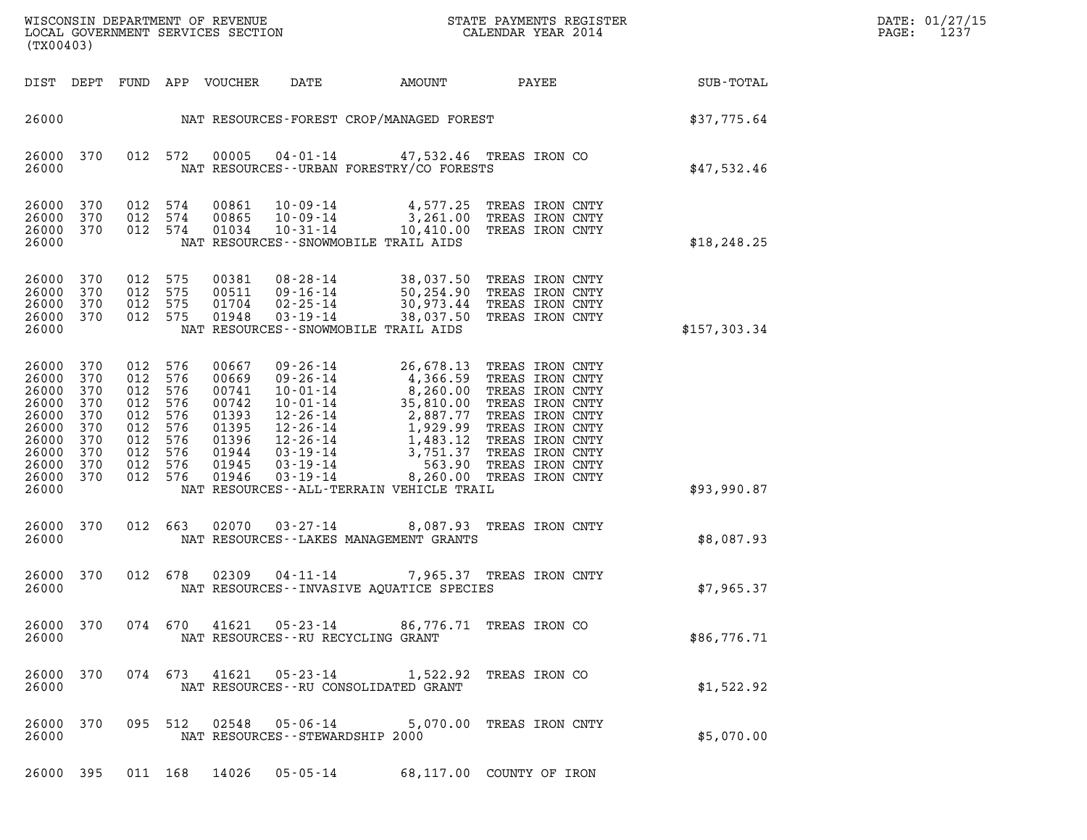| DATE: | 01/27/15 |
|-------|----------|
| PAGE: | 1237     |

| (TX00403)                                                                                               |                                                      |                                                                            |                                                      |                                                                                        | ${\tt WISCOONSIM} \begin{tabular}{lcccc} DEPARTMENT OF REVIEW & \multicolumn{2}{c}{\bullet} & \multicolumn{2}{c}{\bullet} & \multicolumn{2}{c}{\bullet} & \multicolumn{2}{c}{\bullet} & \multicolumn{2}{c}{\tt STATE} \begin{tabular}{lcccc} PAPMENTS REGISTER \\ LOCALENDAR YEAR & 2014 \\ \end{tabular}$ |                                                                                             | DATE: 01/27/15<br>1237<br>PAGE:                                                                                                                                                                                                                        |              |  |
|---------------------------------------------------------------------------------------------------------|------------------------------------------------------|----------------------------------------------------------------------------|------------------------------------------------------|----------------------------------------------------------------------------------------|------------------------------------------------------------------------------------------------------------------------------------------------------------------------------------------------------------------------------------------------------------------------------------------------------------|---------------------------------------------------------------------------------------------|--------------------------------------------------------------------------------------------------------------------------------------------------------------------------------------------------------------------------------------------------------|--------------|--|
| DIST DEPT                                                                                               |                                                      |                                                                            |                                                      | FUND APP VOUCHER                                                                       | DATE                                                                                                                                                                                                                                                                                                       | AMOUNT                                                                                      | PAYEE                                                                                                                                                                                                                                                  | SUB-TOTAL    |  |
| 26000                                                                                                   |                                                      |                                                                            |                                                      |                                                                                        |                                                                                                                                                                                                                                                                                                            |                                                                                             | NAT RESOURCES-FOREST CROP/MANAGED FOREST                                                                                                                                                                                                               | \$37,775.64  |  |
| 26000 370<br>26000                                                                                      |                                                      | 012 572                                                                    |                                                      | 00005                                                                                  |                                                                                                                                                                                                                                                                                                            | 04-01-14 47,532.46 TREAS IRON CO<br>NAT RESOURCES - - URBAN FORESTRY/CO FORESTS             |                                                                                                                                                                                                                                                        | \$47,532.46  |  |
| 26000<br>26000<br>26000 370<br>26000                                                                    | 370<br>370                                           | 012 574<br>012 574<br>012 574                                              |                                                      | 00861<br>00865<br>01034                                                                | $10 - 09 - 14$<br>10-09-14                                                                                                                                                                                                                                                                                 | $10 - 31 - 14$ $10,410.00$<br>NAT RESOURCES - - SNOWMOBILE TRAIL AIDS                       | 4,577.25 TREAS IRON CNTY<br>3,261.00 TREAS IRON CNTY<br>TREAS IRON CNTY                                                                                                                                                                                | \$18, 248.25 |  |
| 26000<br>26000<br>26000<br>26000 370<br>26000                                                           | 370<br>370<br>370                                    | 012<br>012 575<br>012<br>012 575                                           | 575<br>575                                           | 00381<br>00511<br>01704<br>01948                                                       | 08-28-14<br>09-16-14<br>$02 - 25 - 14$<br>$03 - 19 - 14$                                                                                                                                                                                                                                                   | 38,037.50<br>50,254.90<br>30,973.44<br>38,037.50<br>NAT RESOURCES - - SNOWMOBILE TRAIL AIDS | TREAS IRON CNTY<br>TREAS IRON CNTY<br>TREAS IRON CNTY<br>TREAS IRON CNTY                                                                                                                                                                               | \$157,303.34 |  |
| 26000 370<br>26000<br>26000<br>26000<br>26000<br>26000<br>26000<br>26000<br>26000<br>26000 370<br>26000 | 370<br>370<br>370<br>370<br>370<br>370<br>370<br>370 | 012<br>012<br>012<br>012<br>012<br>012<br>012<br>012<br>012 576<br>012 576 | 576<br>576<br>576<br>576<br>576<br>576<br>576<br>576 | 00667<br>00669<br>00741<br>00742<br>01393<br>01395<br>01396<br>01944<br>01945<br>01946 |                                                                                                                                                                                                                                                                                                            | NAT RESOURCES--ALL-TERRAIN VEHICLE TRAIL                                                    | 10-01-14<br>2,887.77 TREAS IRON CN:<br>10-01-14<br>35,810.00 TREAS IRON CNT<br>12-26-14<br>2,887.77 TREAS IRON CNTY<br>12-26-14<br>1,929.99 TREAS IRON CNTY<br>12-26-14<br>1,483.12 TREAS IRON CNTY<br>03-19-14<br>3,751.37 TREAS IRON CNTY<br>03-19-1 | \$93,990.87  |  |
| 26000 370<br>26000                                                                                      |                                                      | 012 663                                                                    |                                                      | 02070                                                                                  | 03-27-14                                                                                                                                                                                                                                                                                                   | NAT RESOURCES - - LAKES MANAGEMENT GRANTS                                                   | 8,087.93 TREAS IRON CNTY                                                                                                                                                                                                                               | \$8,087.93   |  |
| 26000 370<br>26000                                                                                      |                                                      | 012 678                                                                    |                                                      | 02309                                                                                  | $04 - 11 - 14$                                                                                                                                                                                                                                                                                             | NAT RESOURCES - - INVASIVE AQUATICE SPECIES                                                 | 7,965.37 TREAS IRON CNTY                                                                                                                                                                                                                               | \$7,965.37   |  |
| 26000 370<br>26000                                                                                      |                                                      |                                                                            | 074 670                                              |                                                                                        | NAT RESOURCES - - RU RECYCLING GRANT                                                                                                                                                                                                                                                                       | 41621  05-23-14  86,776.71  TREAS IRON CO                                                   |                                                                                                                                                                                                                                                        | \$86,776.71  |  |
| 26000 370<br>26000                                                                                      |                                                      | 074 673                                                                    |                                                      | 41621                                                                                  | 05-23-14                                                                                                                                                                                                                                                                                                   | NAT RESOURCES -- RU CONSOLIDATED GRANT                                                      | 1,522.92 TREAS IRON CO                                                                                                                                                                                                                                 | \$1,522.92   |  |
| 26000 370<br>26000                                                                                      |                                                      | 095 512                                                                    |                                                      | 02548                                                                                  | 05-06-14<br>NAT RESOURCES - - STEWARDSHIP 2000                                                                                                                                                                                                                                                             |                                                                                             | 5,070.00 TREAS IRON CNTY                                                                                                                                                                                                                               | \$5,070.00   |  |
| 26000 395                                                                                               |                                                      | 011 168                                                                    |                                                      | 14026                                                                                  | $05 - 05 - 14$                                                                                                                                                                                                                                                                                             | 68,117.00 COUNTY OF IRON                                                                    |                                                                                                                                                                                                                                                        |              |  |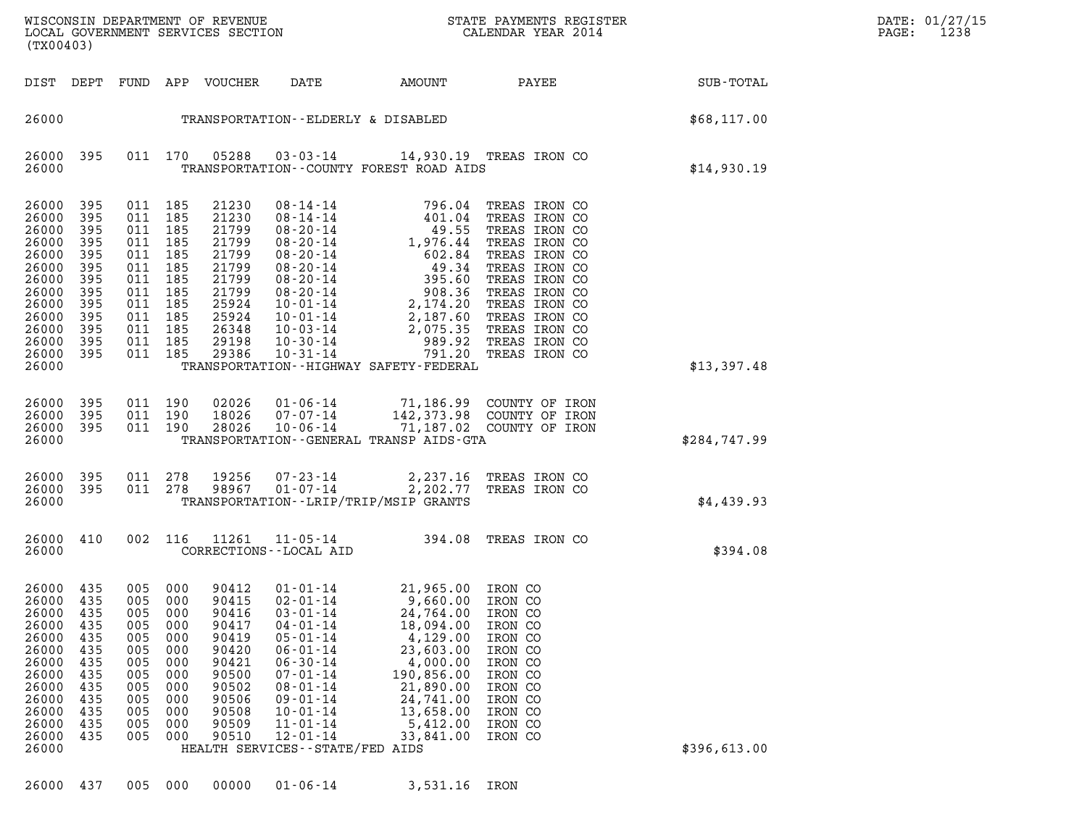| WISCONSIN DEPARTMENT OF REVENUE<br>LOCAL GOVERNMENT SERVICES SECTION<br>(TX00403) | STATE PAYMENTS REGISTER<br>CALENDAR YEAR 2014  |                | DATE: 01/27/15<br>1238<br>PAGE: |
|-----------------------------------------------------------------------------------|------------------------------------------------|----------------|---------------------------------|
| <del>תי ד</del> ח<br>חזודזים<br>UUTOUTO<br>חתהחת<br>רת ג                          | <b>AMOTINIT</b><br><b>DAME</b><br><b>DAVEE</b> | $CITD - TOMAT$ |                                 |

| (TX00403)                                                                                                                  |                                                                                         |                                                                                         |                                                                                         |                                                                                                                   |                                                                                                                                                                                                                                                                           |                                                                                                                                                                    |                                                                                                                                                                                                                           |                  |
|----------------------------------------------------------------------------------------------------------------------------|-----------------------------------------------------------------------------------------|-----------------------------------------------------------------------------------------|-----------------------------------------------------------------------------------------|-------------------------------------------------------------------------------------------------------------------|---------------------------------------------------------------------------------------------------------------------------------------------------------------------------------------------------------------------------------------------------------------------------|--------------------------------------------------------------------------------------------------------------------------------------------------------------------|---------------------------------------------------------------------------------------------------------------------------------------------------------------------------------------------------------------------------|------------------|
| DIST                                                                                                                       | DEPT                                                                                    | FUND                                                                                    | APP                                                                                     | VOUCHER                                                                                                           | DATE                                                                                                                                                                                                                                                                      | AMOUNT                                                                                                                                                             | PAYEE                                                                                                                                                                                                                     | <b>SUB-TOTAL</b> |
| 26000                                                                                                                      |                                                                                         |                                                                                         |                                                                                         |                                                                                                                   | TRANSPORTATION--ELDERLY & DISABLED                                                                                                                                                                                                                                        |                                                                                                                                                                    |                                                                                                                                                                                                                           | \$68,117.00      |
| 26000<br>26000                                                                                                             | 395                                                                                     | 011                                                                                     | 170                                                                                     | 05288                                                                                                             | $03 - 03 - 14$                                                                                                                                                                                                                                                            | TRANSPORTATION--COUNTY FOREST ROAD AIDS                                                                                                                            | 14,930.19 TREAS IRON CO                                                                                                                                                                                                   | \$14,930.19      |
| 26000<br>26000<br>26000<br>26000<br>26000<br>26000<br>26000<br>26000<br>26000<br>26000<br>26000<br>26000<br>26000          | 395<br>395<br>395<br>395<br>395<br>395<br>395<br>395<br>395<br>395<br>395<br>395<br>395 | 011<br>011<br>011<br>011<br>011<br>011<br>011<br>011<br>011<br>011<br>011<br>011<br>011 | 185<br>185<br>185<br>185<br>185<br>185<br>185<br>185<br>185<br>185<br>185<br>185<br>185 | 21230<br>21230<br>21799<br>21799<br>21799<br>21799<br>21799<br>21799<br>25924<br>25924<br>26348<br>29198<br>29386 | $08 - 14 - 14$<br>$08 - 14 - 14$<br>$08 - 20 - 14$<br>$08 - 20 - 14$<br>$08 - 20 - 14$<br>$08 - 20 - 14$<br>$08 - 20 - 14$<br>$08 - 20 - 14$<br>$10 - 01 - 14$<br>$10 - 01 - 14$<br>$10 - 03 - 14$<br>$10 - 30 - 14$<br>$10 - 31 - 14$                                    | 796.04<br>401.04<br>49.55<br>1,976.44<br>602.84<br>49.34<br>395.60<br>908.36<br>2,174.20<br>2,187.60<br>2,075.35<br>989.92<br>791.20                               | TREAS IRON CO<br>TREAS IRON CO<br>TREAS IRON CO<br>TREAS IRON CO<br>TREAS IRON CO<br>TREAS IRON CO<br>TREAS IRON CO<br>TREAS IRON CO<br>TREAS IRON CO<br>TREAS IRON CO<br>TREAS IRON CO<br>TREAS IRON CO<br>TREAS IRON CO |                  |
| 26000                                                                                                                      |                                                                                         |                                                                                         |                                                                                         |                                                                                                                   |                                                                                                                                                                                                                                                                           | TRANSPORTATION - - HIGHWAY SAFETY - FEDERAL                                                                                                                        |                                                                                                                                                                                                                           | \$13,397.48      |
| 26000<br>26000<br>26000<br>26000                                                                                           | 395<br>395<br>395                                                                       | 011<br>011<br>011                                                                       | 190<br>190<br>190                                                                       | 02026<br>18026<br>28026                                                                                           | $01 - 06 - 14$<br>$07 - 07 - 14$<br>$10 - 06 - 14$                                                                                                                                                                                                                        | 71,186.99<br>142,373.98<br>71,187.02<br>TRANSPORTATION - - GENERAL TRANSP AIDS - GTA                                                                               | COUNTY OF IRON<br>COUNTY OF IRON<br>COUNTY OF IRON                                                                                                                                                                        | \$284,747.99     |
| 26000<br>26000<br>26000                                                                                                    | 395<br>395                                                                              | 011<br>011                                                                              | 278<br>278                                                                              | 19256<br>98967                                                                                                    | $07 - 23 - 14$<br>$01 - 07 - 14$                                                                                                                                                                                                                                          | 2,237.16<br>2,202.77<br>TRANSPORTATION - - LRIP/TRIP/MSIP GRANTS                                                                                                   | TREAS IRON CO<br>TREAS IRON CO                                                                                                                                                                                            | \$4,439.93       |
| 26000<br>26000                                                                                                             | 410                                                                                     | 002                                                                                     | 116                                                                                     | 11261                                                                                                             | $11 - 05 - 14$<br>CORRECTIONS - - LOCAL AID                                                                                                                                                                                                                               | 394.08                                                                                                                                                             | TREAS IRON CO                                                                                                                                                                                                             | \$394.08         |
| 26000<br>26000<br>26000<br>26000<br>26000<br>26000<br>26000<br>26000<br>26000<br>26000<br>26000<br>26000<br>26000<br>26000 | 435<br>435<br>435<br>435<br>435<br>435<br>435<br>435<br>435<br>435<br>435<br>435<br>435 | 005<br>005<br>005<br>005<br>005<br>005<br>005<br>005<br>005<br>005<br>005<br>005<br>005 | 000<br>000<br>000<br>000<br>000<br>000<br>000<br>000<br>000<br>000<br>000<br>000<br>000 | 90412<br>90415<br>90416<br>90417<br>90419<br>90420<br>90421<br>90500<br>90502<br>90506<br>90508<br>90509<br>90510 | $01 - 01 - 14$<br>$02 - 01 - 14$<br>$03 - 01 - 14$<br>$04 - 01 - 14$<br>$05 - 01 - 14$<br>$06 - 01 - 14$<br>$06 - 30 - 14$<br>$07 - 01 - 14$<br>$08 - 01 - 14$<br>$09 - 01 - 14$<br>$10 - 01 - 14$<br>$11 - 01 - 14$<br>$12 - 01 - 14$<br>HEALTH SERVICES--STATE/FED AIDS | 21,965.00<br>9,660.00<br>24,764.00<br>18,094.00<br>4,129.00<br>23,603.00<br>4,000.00<br>190,856.00<br>21,890.00<br>24,741.00<br>13,658.00<br>5,412.00<br>33,841.00 | IRON CO<br>IRON CO<br>IRON CO<br>IRON CO<br>IRON CO<br>IRON CO<br>IRON CO<br>IRON CO<br>IRON CO<br>IRON CO<br>IRON CO<br>IRON CO<br>IRON CO                                                                               | \$396,613.00     |
| 26000                                                                                                                      | 437                                                                                     | 005                                                                                     | 000                                                                                     | 00000                                                                                                             | $01 - 06 - 14$                                                                                                                                                                                                                                                            | 3,531.16                                                                                                                                                           | IRON                                                                                                                                                                                                                      |                  |
|                                                                                                                            |                                                                                         |                                                                                         |                                                                                         |                                                                                                                   |                                                                                                                                                                                                                                                                           |                                                                                                                                                                    |                                                                                                                                                                                                                           |                  |

|  |  |  |  |  | 26000 437 005 000 00000 01–06–14 | 3,531.16 IRON |  |
|--|--|--|--|--|----------------------------------|---------------|--|
|--|--|--|--|--|----------------------------------|---------------|--|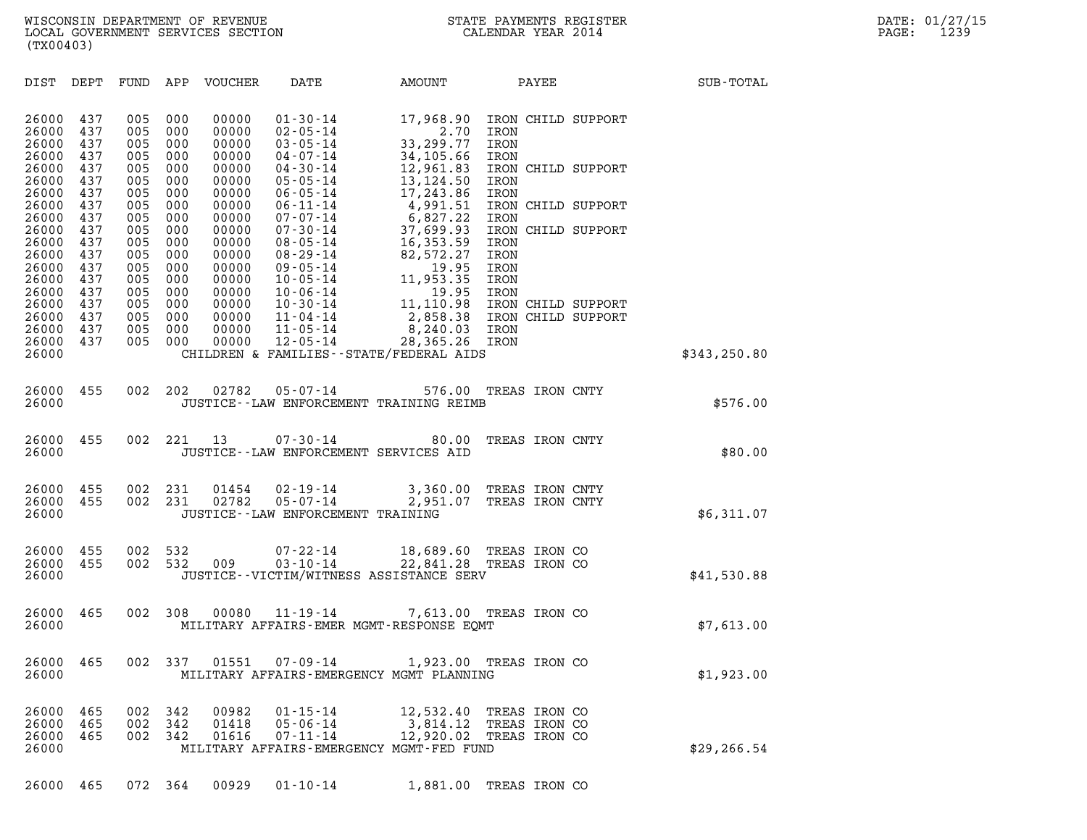| (TX00403)                                 |                                 |                                 |                                 |                                           |                                                                                        |                                                                               |                                                                              |       |               |
|-------------------------------------------|---------------------------------|---------------------------------|---------------------------------|-------------------------------------------|----------------------------------------------------------------------------------------|-------------------------------------------------------------------------------|------------------------------------------------------------------------------|-------|---------------|
| DIST                                      | DEPT                            | FUND                            | APP                             | VOUCHER                                   | DATE                                                                                   | AMOUNT                                                                        |                                                                              | PAYEE | SUB-TOTAL     |
| 26000<br>26000<br>26000<br>26000          | 437<br>437<br>437<br>437        | 005<br>005<br>005<br>005        | 000<br>000<br>000<br>000        | 00000<br>00000<br>00000<br>00000          | $01 - 30 - 14$<br>$02 - 05 - 14$<br>$03 - 05 - 14$<br>$04 - 07 - 14$                   | 17,968.90<br>2.70<br>33,299.77<br>34,105.66                                   | IRON CHILD SUPPORT<br>IRON<br>IRON<br>IRON                                   |       |               |
| 26000<br>26000<br>26000                   | 437<br>437<br>437               | 005<br>005<br>005               | 000<br>000<br>000               | 00000<br>00000<br>00000                   | $04 - 30 - 14$<br>$05 - 05 - 14$<br>$06 - 05 - 14$                                     | 12,961.83<br>13,124.50<br>17,243.86                                           | IRON CHILD SUPPORT<br>IRON<br>IRON                                           |       |               |
| 26000<br>26000<br>26000<br>26000<br>26000 | 437<br>437<br>437<br>437<br>437 | 005<br>005<br>005<br>005<br>005 | 000<br>000<br>000<br>000<br>000 | 00000<br>00000<br>00000<br>00000<br>00000 | $06 - 11 - 14$<br>$07 - 07 - 14$<br>$07 - 30 - 14$<br>$08 - 05 - 14$<br>$08 - 29 - 14$ | 4,991.51<br>6,827.22<br>37,699.93<br>16,353.59<br>82,572.27                   | IRON CHILD SUPPORT<br>IRON<br>IRON CHILD SUPPORT<br>IRON<br>IRON             |       |               |
| 26000<br>26000<br>26000<br>26000<br>26000 | 437<br>437<br>437<br>437<br>437 | 005<br>005<br>005<br>005<br>005 | 000<br>000<br>000<br>000<br>000 | 00000<br>00000<br>00000<br>00000<br>00000 | $09 - 05 - 14$<br>$10 - 05 - 14$<br>$10 - 06 - 14$<br>$10 - 30 - 14$<br>11-04-14       | 19.95<br>11,953.35<br>19.95<br>11,110.98<br>2,858.38 IRON CHILD SUPPORT       | IRON<br>IRON<br>IRON<br>IRON CHILD SUPPORT                                   |       |               |
| 26000<br>26000<br>26000                   | 437<br>437                      | 005<br>005                      | 000<br>000                      | 00000<br>00000                            | $11 - 05 - 14$<br>12-05-14                                                             | 8,240.03 IRON<br>28,365.26 IRON<br>CHILDREN & FAMILIES - - STATE/FEDERAL AIDS |                                                                              |       | \$343, 250.80 |
| 26000<br>26000                            | 455                             | 002                             | 202                             | 02782                                     | $05 - 07 - 14$                                                                         | 576.00<br>JUSTICE -- LAW ENFORCEMENT TRAINING REIMB                           | TREAS IRON CNTY                                                              |       | \$576.00      |
| 26000<br>26000                            | 455                             | 002                             | 221                             | 13                                        | 07-30-14<br>JUSTICE -- LAW ENFORCEMENT SERVICES AID                                    | 80.00                                                                         | TREAS IRON CNTY                                                              |       | \$80.00       |
| 26000<br>26000<br>26000                   | 455<br>455                      | 002<br>002                      | 231<br>231                      | 01454<br>02782                            | 02-19-14<br>05-07-14<br>JUSTICE - - LAW ENFORCEMENT TRAINING                           | 2,951.07                                                                      | 3,360.00 TREAS IRON CNTY<br>TREAS IRON CNTY                                  |       | \$6,311.07    |
| 26000<br>26000<br>26000                   | 455<br>455                      | 002<br>002                      | 532<br>532                      | 009                                       | $07 - 22 - 14$<br>$03 - 10 - 14$                                                       | 22,841.28 TREAS IRON CO<br>JUSTICE - - VICTIM/WITNESS ASSISTANCE SERV         | 18,689.60 TREAS IRON CO                                                      |       | \$41,530.88   |
| 26000<br>26000                            | 465                             | 002                             | 308                             | 00080                                     | $11 - 19 - 14$                                                                         | MILITARY AFFAIRS-EMER MGMT-RESPONSE EQMT                                      | 7,613.00 TREAS IRON CO                                                       |       | \$7,613.00    |
| 26000<br>26000                            | 465                             | 002                             | - 337                           | 01551                                     | $07 - 09 - 14$                                                                         | MILITARY AFFAIRS-EMERGENCY MGMT PLANNING                                      | 1,923.00 TREAS IRON CO                                                       |       | \$1,923.00    |
| 26000<br>26000<br>26000<br>26000          | 465<br>465<br>465               | 002<br>002<br>002               | 342<br>342<br>342               | 00982<br>01418<br>01616                   | $01 - 15 - 14$<br>$05 - 06 - 14$<br>$07 - 11 - 14$                                     | MILITARY AFFAIRS-EMERGENCY MGMT-FED FUND                                      | 12,532.40 TREAS IRON CO<br>3,814.12 TREAS IRON CO<br>12,920.02 TREAS IRON CO |       | \$29, 266.54  |

26000 465 072 364 00929 01-10-14 1,881.00 TREAS IRON CO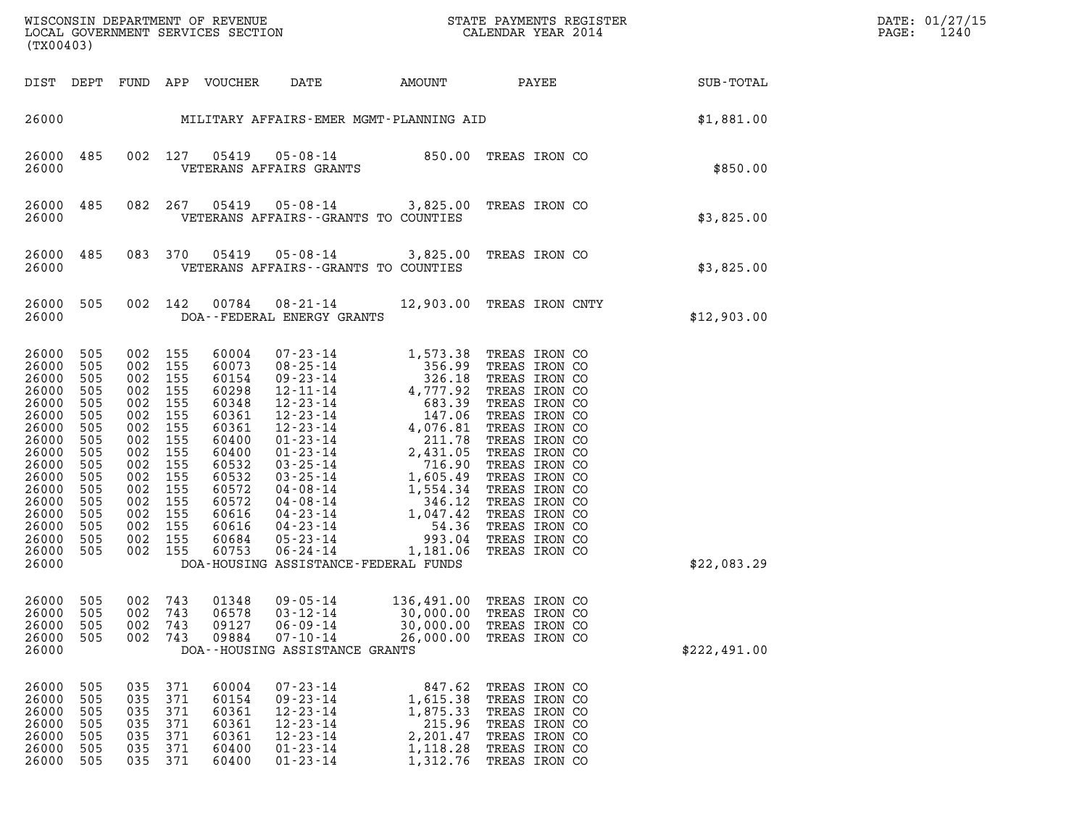| WISCONSIN DEPARTMENT OF REVENUE<br>LOCAL GOVERNMENT SERVICES SECTION<br>(TX00403) | STATE PAYMENTS REGISTER<br>CALENDAR YEAR 2014 | DATE: 01/27/15<br>1240<br>PAGE: |
|-----------------------------------------------------------------------------------|-----------------------------------------------|---------------------------------|

| (TX00403)                                                                                                                                                      |                                                                                                                     |                                                                                                                     |                                                                                                                     |                                                                                                                                                       |                                                                                                                                                                                                                                                                                                                                                        |                                                                                                                                                                                                                                                                    |                                                                                                                                                                                                                                                                                               |              |
|----------------------------------------------------------------------------------------------------------------------------------------------------------------|---------------------------------------------------------------------------------------------------------------------|---------------------------------------------------------------------------------------------------------------------|---------------------------------------------------------------------------------------------------------------------|-------------------------------------------------------------------------------------------------------------------------------------------------------|--------------------------------------------------------------------------------------------------------------------------------------------------------------------------------------------------------------------------------------------------------------------------------------------------------------------------------------------------------|--------------------------------------------------------------------------------------------------------------------------------------------------------------------------------------------------------------------------------------------------------------------|-----------------------------------------------------------------------------------------------------------------------------------------------------------------------------------------------------------------------------------------------------------------------------------------------|--------------|
| DIST                                                                                                                                                           | DEPT                                                                                                                | FUND APP                                                                                                            |                                                                                                                     | VOUCHER                                                                                                                                               | DATE                                                                                                                                                                                                                                                                                                                                                   |                                                                                                                                                                                                                                                                    | AMOUNT PAYEE                                                                                                                                                                                                                                                                                  | SUB-TOTAL    |
| 26000                                                                                                                                                          |                                                                                                                     | \$1,881.00                                                                                                          |                                                                                                                     |                                                                                                                                                       |                                                                                                                                                                                                                                                                                                                                                        |                                                                                                                                                                                                                                                                    |                                                                                                                                                                                                                                                                                               |              |
| 26000<br>26000                                                                                                                                                 | 485                                                                                                                 | 002                                                                                                                 | 127                                                                                                                 | 05419                                                                                                                                                 | VETERANS AFFAIRS GRANTS                                                                                                                                                                                                                                                                                                                                | $05 - 08 - 14$ 850.00                                                                                                                                                                                                                                              | TREAS IRON CO                                                                                                                                                                                                                                                                                 | \$850.00     |
| 26000<br>26000                                                                                                                                                 | 485                                                                                                                 | 082                                                                                                                 | 267                                                                                                                 | 05419                                                                                                                                                 | $05 - 08 - 14$<br>VETERANS AFFAIRS -- GRANTS TO COUNTIES                                                                                                                                                                                                                                                                                               | 3,825.00                                                                                                                                                                                                                                                           | TREAS IRON CO                                                                                                                                                                                                                                                                                 | \$3,825.00   |
| 26000<br>26000                                                                                                                                                 | 485                                                                                                                 | 083                                                                                                                 | 370                                                                                                                 | 05419                                                                                                                                                 | $05 - 08 - 14$<br>VETERANS AFFAIRS -- GRANTS TO COUNTIES                                                                                                                                                                                                                                                                                               | 3,825.00                                                                                                                                                                                                                                                           | TREAS IRON CO                                                                                                                                                                                                                                                                                 | \$3,825.00   |
| 26000<br>26000                                                                                                                                                 | 505                                                                                                                 | 002                                                                                                                 | 142                                                                                                                 | 00784                                                                                                                                                 | $08 - 21 - 14$<br>DOA--FEDERAL ENERGY GRANTS                                                                                                                                                                                                                                                                                                           |                                                                                                                                                                                                                                                                    | 12,903.00 TREAS IRON CNTY                                                                                                                                                                                                                                                                     | \$12,903.00  |
| 26000<br>26000<br>26000<br>26000<br>26000<br>26000<br>26000<br>26000<br>26000<br>26000<br>26000<br>26000<br>26000<br>26000<br>26000<br>26000<br>26000<br>26000 | 505<br>505<br>505<br>505<br>505<br>505<br>505<br>505<br>505<br>505<br>505<br>505<br>505<br>505<br>505<br>505<br>505 | 002<br>002<br>002<br>002<br>002<br>002<br>002<br>002<br>002<br>002<br>002<br>002<br>002<br>002<br>002<br>002<br>002 | 155<br>155<br>155<br>155<br>155<br>155<br>155<br>155<br>155<br>155<br>155<br>155<br>155<br>155<br>155<br>155<br>155 | 60004<br>60073<br>60154<br>60298<br>60348<br>60361<br>60361<br>60400<br>60400<br>60532<br>60532<br>60572<br>60572<br>60616<br>60616<br>60684<br>60753 | $07 - 23 - 14$<br>$08 - 25 - 14$<br>$09 - 23 - 14$<br>$12 - 11 - 14$<br>$12 - 23 - 14$<br>$12 - 23 - 14$<br>$12 - 23 - 14$<br>$01 - 23 - 14$<br>$01 - 23 - 14$<br>$03 - 25 - 14$<br>$03 - 25 - 14$<br>$04 - 08 - 14$<br>$04 - 08 - 14$<br>$04 - 23 - 14$<br>$04 - 23 - 14$<br>$05 - 23 - 14$<br>$06 - 24 - 14$<br>DOA-HOUSING ASSISTANCE-FEDERAL FUNDS | 1,573.38<br>356.99<br>326.18<br>4,777.92<br>683.39<br>147.06<br>4,076.81<br>$\begin{array}{r} 4,076.81 \\ 211.78 \\ 2,431.05 \\ 716.90 \\ 1,605.49 \end{array}$<br>2,431.05<br>716.90<br>1,605.49<br>1,554.34<br>346.12<br>3,047.42<br>54.36<br>993.04<br>1,181.06 | TREAS IRON CO<br>TREAS IRON CO<br>TREAS IRON CO<br>TREAS IRON CO<br>TREAS IRON CO<br>TREAS IRON CO<br>TREAS IRON CO<br>TREAS IRON CO<br>TREAS IRON CO<br>TREAS IRON CO<br>TREAS IRON CO<br>TREAS IRON CO<br>TREAS IRON CO<br>TREAS IRON CO<br>TREAS IRON CO<br>TREAS IRON CO<br>TREAS IRON CO | \$22,083.29  |
| 26000<br>26000<br>26000<br>26000<br>26000                                                                                                                      | 505<br>505<br>505<br>505                                                                                            | 002<br>002<br>002<br>002                                                                                            | 743<br>743<br>743<br>743                                                                                            | 01348<br>06578<br>09127<br>09884                                                                                                                      | $09 - 05 - 14$<br>03-12-14<br>$06 - 09 - 14$<br>$07 - 10 - 14$<br>DOA--HOUSING ASSISTANCE GRANTS                                                                                                                                                                                                                                                       | 136,491.00<br>30,000.00<br>30,000.00<br>26,000.00                                                                                                                                                                                                                  | TREAS IRON CO<br>TREAS IRON CO<br>TREAS IRON CO<br>TREAS IRON CO                                                                                                                                                                                                                              | \$222,491.00 |
| 26000<br>26000<br>26000<br>26000<br>26000<br>26000<br>26000                                                                                                    | 505<br>505<br>505<br>505<br>505<br>505<br>505                                                                       | 035<br>035<br>035<br>035<br>035<br>035<br>035                                                                       | 371<br>371<br>371<br>371<br>371<br>371<br>371                                                                       | 60004<br>60154<br>60361<br>60361<br>60361<br>60400<br>60400                                                                                           | $07 - 23 - 14$<br>$09 - 23 - 14$<br>$12 - 23 - 14$<br>$12 - 23 - 14$<br>$12 - 23 - 14$<br>$01 - 23 - 14$<br>$01 - 23 - 14$                                                                                                                                                                                                                             | 847.62<br>1,615.38<br>1,875.33<br>215.96<br>2,201.47<br>1,118.28<br>1,312.76                                                                                                                                                                                       | TREAS IRON CO<br>TREAS IRON CO<br>TREAS IRON CO<br>TREAS IRON CO<br>TREAS IRON CO<br>TREAS IRON CO<br>TREAS IRON CO                                                                                                                                                                           |              |

(TX00403)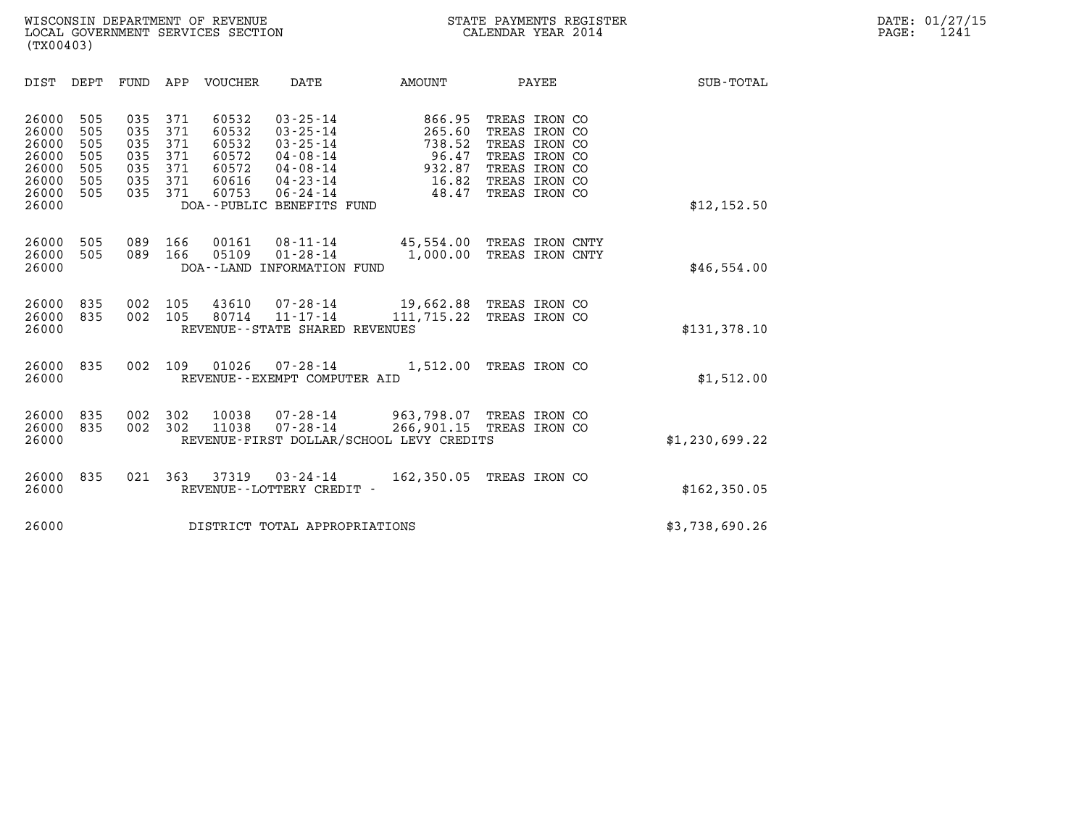| (TX00403)                                                                                                                                                              |                                                                                                                                                                                                                                                             |                                                                 |                                                                                                                     |                  |
|------------------------------------------------------------------------------------------------------------------------------------------------------------------------|-------------------------------------------------------------------------------------------------------------------------------------------------------------------------------------------------------------------------------------------------------------|-----------------------------------------------------------------|---------------------------------------------------------------------------------------------------------------------|------------------|
| DIST<br>DEPT<br>FUND                                                                                                                                                   | APP<br>VOUCHER<br>DATE                                                                                                                                                                                                                                      | AMOUNT                                                          | PAYEE                                                                                                               | <b>SUB-TOTAL</b> |
| 26000<br>505<br>035<br>505<br>035<br>26000<br>505<br>26000<br>035<br>26000<br>505<br>035<br>26000<br>505<br>035<br>26000<br>505<br>035<br>26000<br>505<br>035<br>26000 | 371<br>60532<br>$03 - 25 - 14$<br>371<br>60532<br>$03 - 25 - 14$<br>371<br>60532<br>$03 - 25 - 14$<br>371<br>60572<br>$04 - 08 - 14$<br>371<br>04-08-14<br>60572<br>371<br>60616<br>04-23-14<br>60753<br>371<br>$06 - 24 - 14$<br>DOA--PUBLIC BENEFITS FUND | 866.95<br>265.60<br>738.52<br>96.47<br>932.87<br>16.82<br>48.47 | TREAS IRON CO<br>TREAS IRON CO<br>TREAS IRON CO<br>TREAS IRON CO<br>TREAS IRON CO<br>TREAS IRON CO<br>TREAS IRON CO | \$12, 152.50     |
| 26000<br>505<br>089<br>505<br>089<br>26000<br>26000                                                                                                                    | 166<br>00161<br>$08 - 11 - 14$<br>05109<br>166<br>$01 - 28 - 14$<br>DOA--LAND INFORMATION FUND                                                                                                                                                              | 45,554.00 TREAS IRON CNTY<br>1,000.00                           | TREAS IRON CNTY                                                                                                     | \$46,554.00      |
| 835<br>26000<br>002<br>26000<br>835<br>002<br>26000                                                                                                                    | 43610<br>105<br>07-28-14<br>105<br>80714<br>$11 - 17 - 14$<br>REVENUE - - STATE SHARED REVENUES                                                                                                                                                             | 19,662.88 TREAS IRON CO<br>111,715.22                           | TREAS IRON CO                                                                                                       | \$131,378.10     |
| 26000<br>835<br>002<br>26000                                                                                                                                           | 109<br>01026<br>07-28-14<br>REVENUE--EXEMPT COMPUTER AID                                                                                                                                                                                                    | 1,512.00                                                        | TREAS IRON CO                                                                                                       | \$1,512.00       |
| 26000<br>835<br>002<br>26000<br>835<br>002<br>26000                                                                                                                    | 302<br>10038<br>$07 - 28 - 14$<br>302<br>11038<br>$07 - 28 - 14$<br>REVENUE-FIRST DOLLAR/SCHOOL LEVY CREDITS                                                                                                                                                | 963,798.07 TREAS IRON CO<br>266,901.15                          | TREAS IRON CO                                                                                                       | \$1,230,699.22   |
| 26000<br>835<br>021<br>26000                                                                                                                                           | 363<br>37319<br>$03 - 24 - 14$<br>REVENUE--LOTTERY CREDIT -                                                                                                                                                                                                 | 162,350.05 TREAS IRON CO                                        |                                                                                                                     | \$162,350.05     |
| 26000                                                                                                                                                                  | DISTRICT TOTAL APPROPRIATIONS                                                                                                                                                                                                                               |                                                                 |                                                                                                                     | \$3,738,690.26   |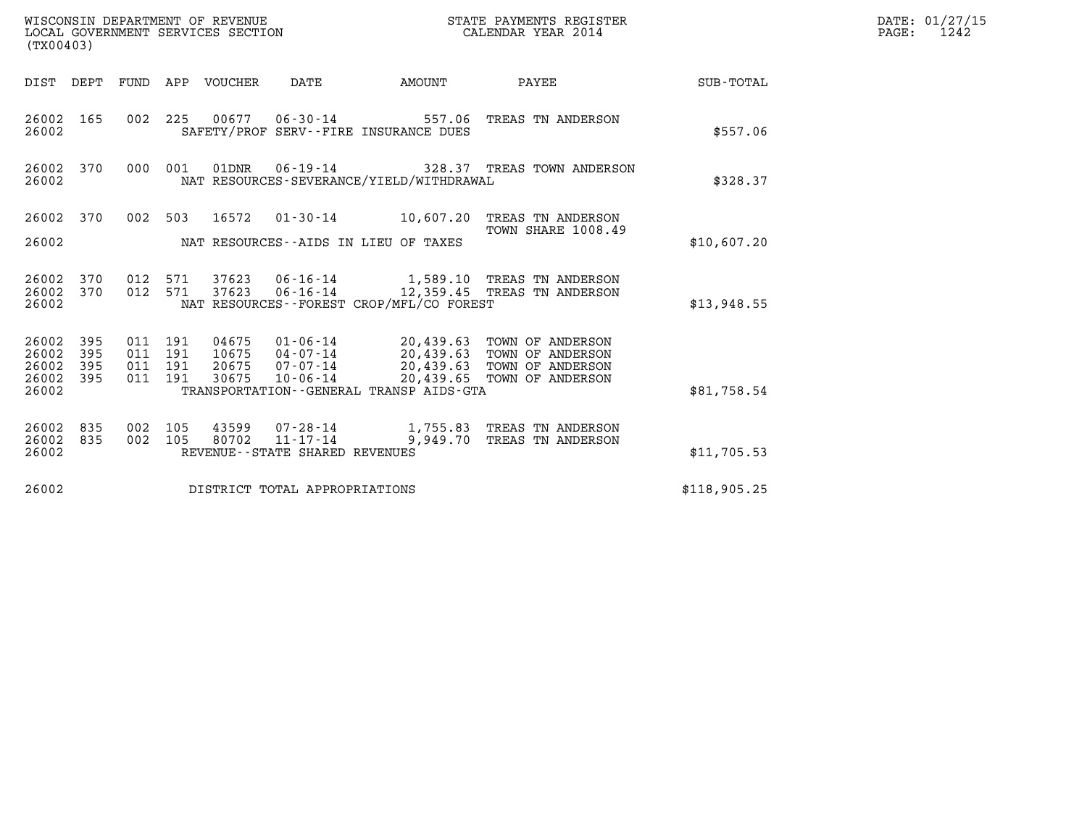| WISCONSIN DEPARTMENT OF REVENUE<br>LOCAL GOVERNMENT SERVICES SECTION | STATE PAYMENTS REGISTER<br>CALENDAR YEAR 2014 | DATE: 01/27/15<br>1242<br>PAGE: |
|----------------------------------------------------------------------|-----------------------------------------------|---------------------------------|

| WISCONSIN DEPARTMENT OF REVENUE<br>STATE PAYMENTS REGISTER<br>LOCAL GOVERNMENT SERVICES SECTION<br>CALENDAR YEAR 2014<br>(TX00403) |                          |                          |                          |                                  |                                                                                                                |                                     |                                                                                        |              |
|------------------------------------------------------------------------------------------------------------------------------------|--------------------------|--------------------------|--------------------------|----------------------------------|----------------------------------------------------------------------------------------------------------------|-------------------------------------|----------------------------------------------------------------------------------------|--------------|
| DIST                                                                                                                               | DEPT                     | FUND                     | APP                      | <b>VOUCHER</b>                   | <b>DATE</b>                                                                                                    | AMOUNT                              | PAYEE                                                                                  | SUB-TOTAL    |
| 26002<br>26002                                                                                                                     | 165                      | 002                      | 225                      | 00677                            | $06 - 30 - 14$ 557.06<br>SAFETY/PROF SERV--FIRE INSURANCE DUES                                                 |                                     | TREAS TN ANDERSON                                                                      | \$557.06     |
| 26002<br>26002                                                                                                                     | 370                      | 000                      | 001                      | 01DNR                            | NAT RESOURCES-SEVERANCE/YIELD/WITHDRAWAL                                                                       |                                     | 06-19-14 328.37 TREAS TOWN ANDERSON                                                    | \$328.37     |
| 26002<br>26002                                                                                                                     | 370                      | 002                      | 503                      | 16572                            | $01 - 30 - 14$<br>NAT RESOURCES--AIDS IN LIEU OF TAXES                                                         | 10,607.20                           | TREAS TN ANDERSON<br>TOWN SHARE 1008.49                                                | \$10,607.20  |
| 26002<br>26002<br>26002                                                                                                            | 370<br>370               | 012<br>012               | 571<br>571               | 37623<br>37623                   | $06 - 16 - 14$<br>NAT RESOURCES - - FOREST CROP/MFL/CO FOREST                                                  |                                     | 06-16-14 1,589.10 TREAS TN ANDERSON<br>12,359.45 TREAS TN ANDERSON                     | \$13,948.55  |
| 26002<br>26002<br>26002<br>26002<br>26002                                                                                          | 395<br>395<br>395<br>395 | 011<br>011<br>011<br>011 | 191<br>191<br>191<br>191 | 04675<br>10675<br>20675<br>30675 | $01 - 06 - 14$<br>04-07-14<br>$07 - 07 - 14$<br>$10 - 06 - 14$<br>TRANSPORTATION - - GENERAL TRANSP AIDS - GTA | 20,439.63<br>20,439.63<br>20,439.65 | 20,439.63 TOWN OF ANDERSON<br>TOWN OF ANDERSON<br>TOWN OF ANDERSON<br>TOWN OF ANDERSON | \$81,758.54  |
| 26002<br>26002<br>26002                                                                                                            | 835<br>835               | 002<br>002               | 105<br>105               | 43599<br>80702                   | $11 - 17 - 14$<br>REVENUE - - STATE SHARED REVENUES                                                            | 9,949.70                            | 07-28-14 1,755.83 TREAS TN ANDERSON<br>TREAS TN ANDERSON                               | \$11,705.53  |
| 26002                                                                                                                              |                          |                          |                          |                                  | DISTRICT TOTAL APPROPRIATIONS                                                                                  |                                     |                                                                                        | \$118,905.25 |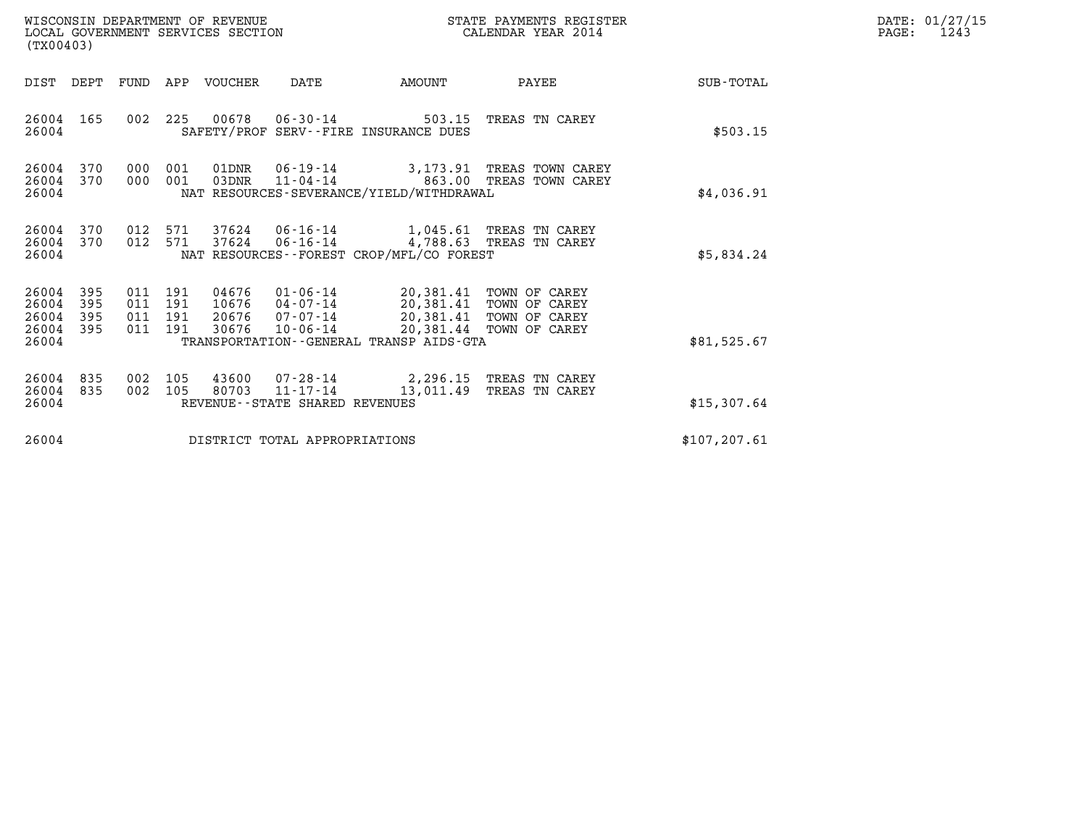| WISCONSIN DEPARTMENT OF REVENUE<br>LOCAL GOVERNMENT SERVICES SECTION<br>(TX00403) |            |                                      |            |                         |                                                  |                                                                                                   | STATE PAYMENTS REGISTER<br>CALENDAR YEAR 2014                       |               | DATE: 01/27/15<br>PAGE:<br>1243 |
|-----------------------------------------------------------------------------------|------------|--------------------------------------|------------|-------------------------|--------------------------------------------------|---------------------------------------------------------------------------------------------------|---------------------------------------------------------------------|---------------|---------------------------------|
| DIST                                                                              | DEPT       | FUND                                 | APP        | VOUCHER                 | DATE                                             | AMOUNT                                                                                            | PAYEE                                                               | SUB-TOTAL     |                                 |
| 26004 165<br>26004                                                                |            |                                      | 002 225    |                         |                                                  | 00678 06-30-14 503.15<br>SAFETY/PROF SERV--FIRE INSURANCE DUES                                    | TREAS TN CAREY                                                      | \$503.15      |                                 |
| 26004 370<br>26004 370<br>26004                                                   |            | 000<br>000                           | 001<br>001 | 01DNR<br>03DNR          | 06-19-14<br>$11 - 04 - 14$                       | NAT RESOURCES-SEVERANCE/YIELD/WITHDRAWAL                                                          | 3,173.91 TREAS TOWN CAREY<br>863.00 TREAS TOWN CAREY                | \$4,036.91    |                                 |
| 26004<br>26004<br>26004                                                           | 370<br>370 | 012 571<br>012 571                   |            | 37624<br>37624          | $06 - 16 - 14$                                   | NAT RESOURCES - - FOREST CROP/MFL/CO FOREST                                                       | 06-16-14 1,045.61 TREAS TN CAREY<br>4,788.63 TREAS TN CAREY         | \$5,834.24    |                                 |
| 26004 395<br>26004<br>26004<br>26004 395<br>26004                                 | 395<br>395 | 011 191<br>011 191<br>011<br>011 191 | 191        | 10676<br>20676<br>30676 | 04-07-14<br>07-07-14<br>$10 - 06 - 14$           | 04676  01-06-14  20,381.41  TOWN OF CAREY<br>20,381.44<br>TRANSPORTATION--GENERAL TRANSP AIDS-GTA | 20,381.41 TOWN OF CAREY<br>20,381.41 TOWN OF CAREY<br>TOWN OF CAREY | \$81,525.67   |                                 |
| 26004 835<br>26004 835<br>26004                                                   |            | 002 105<br>002 105                   |            | 43600<br>80703          | $11 - 17 - 14$<br>REVENUE--STATE SHARED REVENUES | $07 - 28 - 14$ 2,296.15<br>13,011.49                                                              | TREAS TN CAREY<br>TREAS TN CAREY                                    | \$15,307.64   |                                 |
| 26004                                                                             |            |                                      |            |                         | DISTRICT TOTAL APPROPRIATIONS                    |                                                                                                   |                                                                     | \$107, 207.61 |                                 |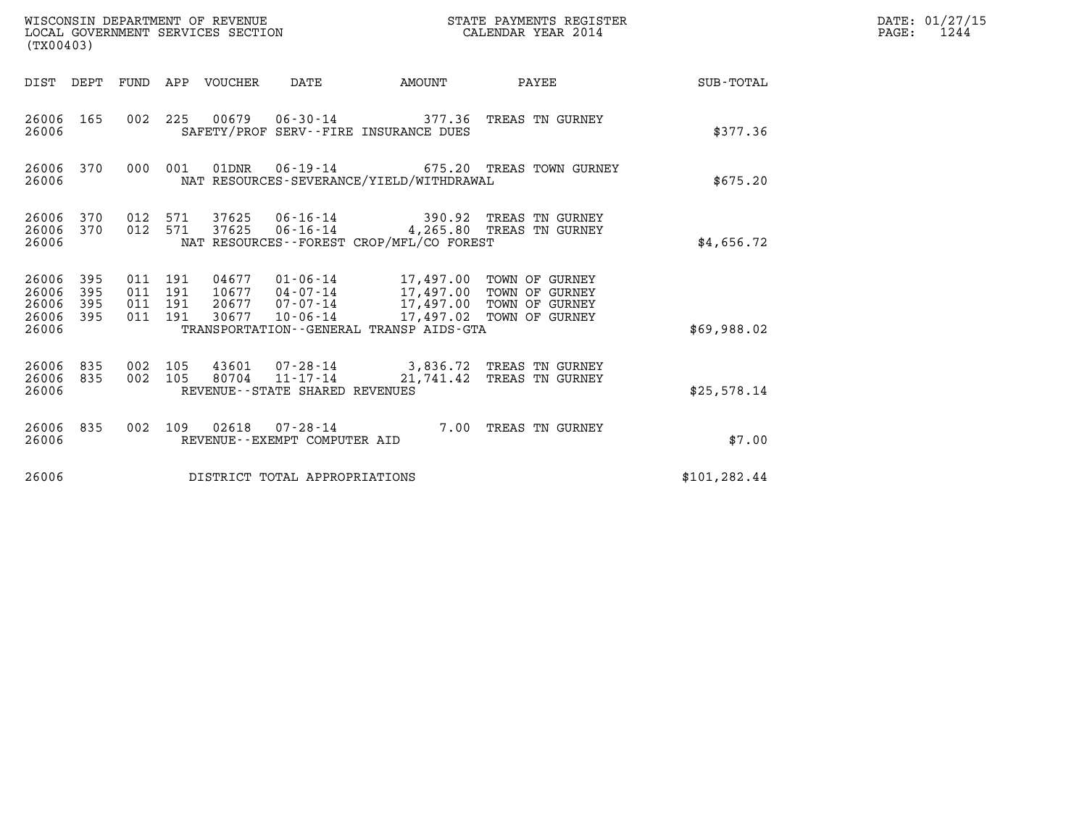| WISCONSIN DEPARTMENT OF REVENUE<br>LOCAL GOVERNMENT SERVICES SECTION<br>(TX00403) |                          |                                          |         |                                  |                                |                                                                                                                                                    | STATE PAYMENTS REGISTER<br>CALENDAR YEAR 2014                                          |               | DATE: 01/27/15<br>$\mathtt{PAGE}$ :<br>1244 |
|-----------------------------------------------------------------------------------|--------------------------|------------------------------------------|---------|----------------------------------|--------------------------------|----------------------------------------------------------------------------------------------------------------------------------------------------|----------------------------------------------------------------------------------------|---------------|---------------------------------------------|
|                                                                                   |                          |                                          |         | DIST DEPT FUND APP VOUCHER       | DATE                           |                                                                                                                                                    | AMOUNT PAYEE                                                                           | SUB-TOTAL     |                                             |
| 26006 165<br>26006                                                                |                          |                                          | 002 225 |                                  |                                | SAFETY/PROF SERV--FIRE INSURANCE DUES                                                                                                              |                                                                                        | \$377.36      |                                             |
| 26006 370<br>26006                                                                |                          | 000 001                                  |         |                                  |                                | NAT RESOURCES-SEVERANCE/YIELD/WITHDRAWAL                                                                                                           | 675.20 TREAS TOWN GURNEY                                                               | \$675.20      |                                             |
| 26006<br>26006<br>26006                                                           | 370<br>370               | 012 571<br>012 571                       |         | 37625                            |                                | NAT RESOURCES--FOREST CROP/MFL/CO FOREST                                                                                                           | 37625  06-16-14  390.92  TREAS TN GURNEY<br>06-16-14 4,265.80 TREAS TN GURNEY          | \$4,656.72    |                                             |
| 26006<br>26006<br>26006<br>26006<br>26006                                         | 395<br>395<br>395<br>395 | 011 191<br>011 191<br>011 191<br>011 191 |         | 04677<br>10677<br>20677<br>30677 | 07-07-14<br>10-06-14           | 01-06-14 17,497.00 TOWN OF GURNEY<br>04-07-14 17,497.00 TOWN OF GURNEY<br>17,497.00 TOWN OF GURNEY<br>TRANSPORTATION - - GENERAL TRANSP AIDS - GTA | 17,497.02 TOWN OF GURNEY                                                               | \$69,988.02   |                                             |
| 26006<br>26006<br>26006                                                           | 835<br>835               | 002 105<br>002 105                       |         |                                  | REVENUE--STATE SHARED REVENUES |                                                                                                                                                    | 43601 07-28-14 3,836.72 TREAS TN GURNEY<br>80704  11-17-14  21,741.42  TREAS TN GURNEY | \$25,578.14   |                                             |
| 26006<br>26006                                                                    | 835                      | 002 109                                  |         |                                  | REVENUE--EXEMPT COMPUTER AID   |                                                                                                                                                    | 02618  07-28-14  7.00 TREAS TN GURNEY                                                  | \$7.00        |                                             |
| 26006                                                                             |                          |                                          |         |                                  | DISTRICT TOTAL APPROPRIATIONS  |                                                                                                                                                    |                                                                                        | \$101, 282.44 |                                             |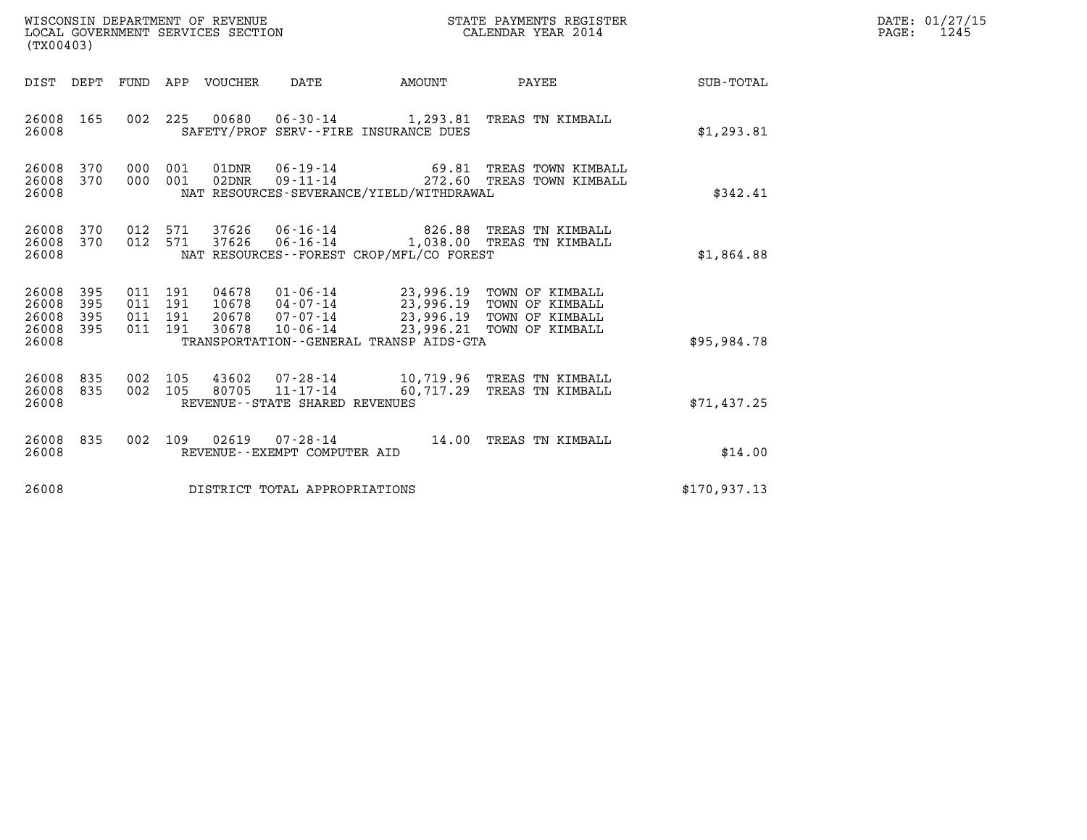| (TX00403)                                                             |                                          | WISCONSIN DEPARTMENT OF REVENUE<br>LOCAL GOVERNMENT SERVICES SECTION |                                                     | STATE PAYMENTS REGISTER<br>CALENDAR YEAR 2014                                          |                                                                                                                  |              | DATE: 01/27/15<br>1245<br>$\mathtt{PAGE}$ : |
|-----------------------------------------------------------------------|------------------------------------------|----------------------------------------------------------------------|-----------------------------------------------------|----------------------------------------------------------------------------------------|------------------------------------------------------------------------------------------------------------------|--------------|---------------------------------------------|
|                                                                       |                                          | DIST DEPT FUND APP VOUCHER                                           | DATE                                                | AMOUNT                                                                                 | PAYEE                                                                                                            | SUB-TOTAL    |                                             |
| 26008 165<br>26008                                                    |                                          |                                                                      |                                                     | SAFETY/PROF SERV--FIRE INSURANCE DUES                                                  | 002 225 00680 06-30-14 1,293.81 TREAS TN KIMBALL                                                                 | \$1,293.81   |                                             |
| 370<br>26008<br>26008 370<br>26008                                    | 000 001<br>000 001                       | 01DNR<br>02DNR                                                       | 06-19-14                                            | NAT RESOURCES-SEVERANCE/YIELD/WITHDRAWAL                                               | 69.81 TREAS TOWN KIMBALL<br>09-11-14 272.60 TREAS TOWN KIMBALL                                                   | \$342.41     |                                             |
| 26008 370<br>370<br>26008<br>26008                                    | 012 571<br>012 571                       | 37626                                                                | $06 - 16 - 14$                                      | NAT RESOURCES - - FOREST CROP/MFL/CO FOREST                                            | 37626  06-16-14  826.88  TREAS TN KIMBALL<br>1,038.00 TREAS TN KIMBALL                                           | \$1,864.88   |                                             |
| 26008<br>395<br>26008<br>395<br>395<br>26008<br>395<br>26008<br>26008 | 011 191<br>011 191<br>011 191<br>011 191 | 20678<br>30678                                                       | 10678  04-07-14<br>07-07-14<br>10-06-14             | 04678  01-06-14  23,996.19  TOWN OF KIMBALL<br>TRANSPORTATION--GENERAL TRANSP AIDS-GTA | 23,996.19 TOWN OF KIMBALL<br>23,996.19 TOWN OF KIMBALL<br>23,996.19 TOWN OF KIMBALL<br>23,996.21 TOWN OF KIMBALL | \$95,984.78  |                                             |
| 26008 835<br>26008 835<br>26008                                       | 002 105<br>002 105                       | 43602<br>80705                                                       | $11 - 17 - 14$<br>REVENUE - - STATE SHARED REVENUES |                                                                                        | 07-28-14 10,719.96 TREAS TN KIMBALL<br>60,717.29 TREAS TN KIMBALL                                                | \$71,437.25  |                                             |
| 26008 835<br>26008                                                    |                                          |                                                                      | REVENUE--EXEMPT COMPUTER AID                        |                                                                                        | 002 109 02619 07-28-14 14.00 TREAS TN KIMBALL                                                                    | \$14.00      |                                             |
| 26008                                                                 |                                          | DISTRICT TOTAL APPROPRIATIONS                                        |                                                     |                                                                                        |                                                                                                                  | \$170,937.13 |                                             |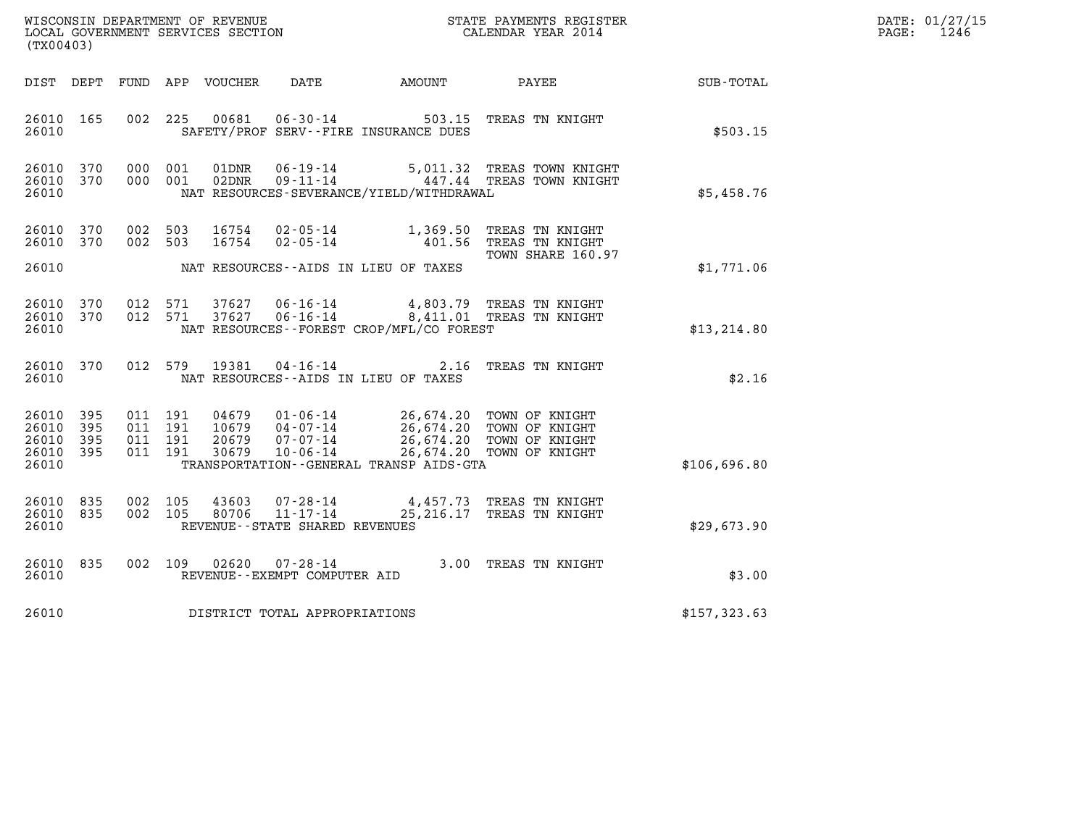| DATE: | 01/27/15 |
|-------|----------|
| PAGE: | 1246     |

| (TX00403)                                             |           |                               |         |                |                                                                 |                                          |                                                                                                                                                                                  |              | DATE: 01/27/15<br>$\mathtt{PAGE:}$<br>1246 |
|-------------------------------------------------------|-----------|-------------------------------|---------|----------------|-----------------------------------------------------------------|------------------------------------------|----------------------------------------------------------------------------------------------------------------------------------------------------------------------------------|--------------|--------------------------------------------|
|                                                       |           |                               |         |                |                                                                 | DIST DEPT FUND APP VOUCHER DATE AMOUNT   | PAYEE SUB-TOTAL                                                                                                                                                                  |              |                                            |
| 26010 165<br>26010                                    |           |                               |         | 002 225 00681  | $06 - 30 - 14$                                                  | SAFETY/PROF SERV--FIRE INSURANCE DUES    | 503.15 TREAS TN KNIGHT                                                                                                                                                           | \$503.15     |                                            |
| 26010 370<br>26010 370<br>26010                       |           | 000 001<br>000 001            |         | 01DNR<br>02DNR | $06 - 19 - 14$                                                  | NAT RESOURCES-SEVERANCE/YIELD/WITHDRAWAL | 5,011.32 TREAS TOWN KNIGHT<br>09-11-14 447.44 TREAS TOWN KNIGHT                                                                                                                  | \$5,458.76   |                                            |
| 26010<br>26010 370                                    | 370       | 002 503<br>002 503            |         | 16754<br>16754 |                                                                 |                                          | 02-05-14 1,369.50 TREAS TN KNIGHT<br>02-05-14 401.56 TREAS TN KNIGHT                                                                                                             |              |                                            |
| 26010                                                 |           |                               |         |                |                                                                 | NAT RESOURCES--AIDS IN LIEU OF TAXES     | TOWN SHARE 160.97                                                                                                                                                                | \$1,771.06   |                                            |
| 26010 370<br>26010 370<br>26010                       |           |                               |         |                |                                                                 | NAT RESOURCES--FOREST CROP/MFL/CO FOREST | $0.12$ 571 37627 06-16-14 4,803.79 TREAS TN KNIGHT<br>012 571 37627 06-16-14 8,411.01 TREAS TN KNIGHT                                                                            | \$13, 214.80 |                                            |
| 26010                                                 | 26010 370 |                               |         |                |                                                                 | NAT RESOURCES--AIDS IN LIEU OF TAXES     | 012 579 19381 04-16-14 2.16 TREAS TN KNIGHT                                                                                                                                      | \$2.16       |                                            |
| 26010 395<br>26010<br>26010 395<br>26010 395<br>26010 | 395       | 011 191<br>011 191<br>011 191 | 011 191 |                |                                                                 | TRANSPORTATION--GENERAL TRANSP AIDS-GTA  | 04679  01-06-14  26,674.20 TOWN OF KNIGHT<br>10679  04-07-14  26,674.20 TOWN OF KNIGHT<br>20679  07-07-14  26,674.20 TOWN OF KNIGHT<br>30679  10-06-14  26,674.20 TOWN OF KNIGHT | \$106,696.80 |                                            |
| 26010 835<br>26010 835<br>26010                       |           | 002 105                       | 002 105 | 43603<br>80706 | 07-28-14<br>$11 - 17 - 14$<br>REVENUE - - STATE SHARED REVENUES |                                          | 4,457.73 TREAS TN KNIGHT<br>25, 216.17 TREAS TN KNIGHT                                                                                                                           | \$29,673.90  |                                            |
| 26010 835<br>26010                                    |           |                               | 002 109 |                | REVENUE--EXEMPT COMPUTER AID                                    |                                          | 02620  07-28-14  3.00 TREAS TN KNIGHT                                                                                                                                            | \$3.00       |                                            |
| 26010                                                 |           |                               |         |                | DISTRICT TOTAL APPROPRIATIONS                                   |                                          |                                                                                                                                                                                  | \$157,323.63 |                                            |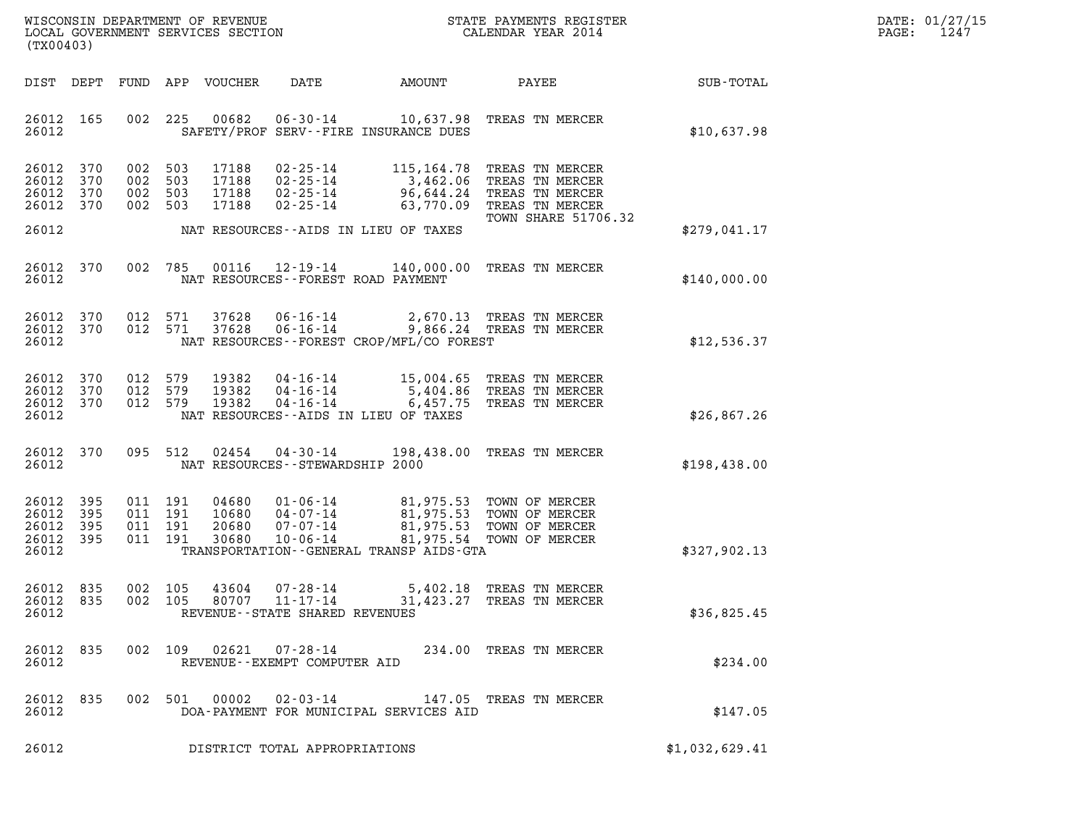| DATE: | 01/27/15 |
|-------|----------|
| PAGE: | 1247     |

| WISCONSIN DEPARTMENT OF REVENUE<br>LOCAL GOVERNMENT SERVICES SECTION<br>(TX00403) |                   |                                      |                   |                                  |                                                                            |                                                    | STATE PAYMENTS REGISTER<br>CALENDAR YEAR 2014                                                                              |                | DATE: 01/27/15<br>1247<br>PAGE: |
|-----------------------------------------------------------------------------------|-------------------|--------------------------------------|-------------------|----------------------------------|----------------------------------------------------------------------------|----------------------------------------------------|----------------------------------------------------------------------------------------------------------------------------|----------------|---------------------------------|
| DIST DEPT                                                                         |                   |                                      |                   | FUND APP VOUCHER                 | DATE                                                                       | AMOUNT                                             | PAYEE                                                                                                                      | SUB-TOTAL      |                                 |
| 26012 165<br>26012                                                                |                   | 002                                  | 225               | 00682                            | $06 - 30 - 14$                                                             | 10,637.98<br>SAFETY/PROF SERV--FIRE INSURANCE DUES | TREAS TN MERCER                                                                                                            | \$10,637.98    |                                 |
| 26012<br>26012<br>26012<br>26012 370                                              | 370<br>370<br>370 | 002<br>002<br>002<br>002 503         | 503<br>503<br>503 | 17188<br>17188<br>17188<br>17188 | 02-25-14<br>02-25-14<br>$02 - 25 - 14$<br>$02 - 25 - 14$                   | 96,644.24<br>63,770.09                             | 115,164.78 TREAS TN MERCER<br>3,462.06 TREAS TN MERCER<br>TREAS TN MERCER<br>TREAS TN MERCER<br><b>TOWN SHARE 51706.32</b> |                |                                 |
| 26012                                                                             |                   |                                      |                   |                                  |                                                                            | NAT RESOURCES--AIDS IN LIEU OF TAXES               |                                                                                                                            | \$279,041.17   |                                 |
| 26012 370<br>26012                                                                |                   | 002                                  | 785               | 00116                            | 12-19-14                                                                   | NAT RESOURCES--FOREST ROAD PAYMENT                 | 140,000.00 TREAS TN MERCER                                                                                                 | \$140,000.00   |                                 |
| 26012<br>26012 370<br>26012                                                       | 370               | 012 571<br>012 571                   |                   | 37628<br>37628                   | 06-16-14<br>$06 - 16 - 14$                                                 | NAT RESOURCES--FOREST CROP/MFL/CO FOREST           | 2,670.13 TREAS TN MERCER<br>9,866.24 TREAS TN MERCER                                                                       | \$12,536.37    |                                 |
| 26012<br>26012<br>26012 370<br>26012                                              | 370<br>370        | 012<br>012<br>012 579                | 579<br>579        | 19382<br>19382<br>19382          | $04 - 16 - 14$<br>04-16-14<br>$04 - 16 - 14$                               | 6,457.75<br>NAT RESOURCES -- AIDS IN LIEU OF TAXES | 15,004.65 TREAS TN MERCER<br>5,404.86 TREAS TN MERCER<br>TREAS TN MERCER                                                   | \$26,867.26    |                                 |
| 26012<br>26012                                                                    | 370               | 095 512                              |                   | 02454                            | $04 - 30 - 14$<br>NAT RESOURCES - - STEWARDSHIP 2000                       |                                                    | 198,438.00 TREAS TN MERCER                                                                                                 | \$198,438.00   |                                 |
| 26012<br>26012<br>26012<br>26012 395<br>26012                                     | 395<br>395<br>395 | 011 191<br>011 191<br>011<br>011 191 | 191               | 04680<br>10680<br>20680<br>30680 | $01 - 06 - 14$<br>04-07-14<br>07-07-14<br>$10 - 06 - 14$                   | TRANSPORTATION--GENERAL TRANSP AIDS-GTA            | 81,975.53 TOWN OF MERCER<br>81,975.53 TOWN OF MERCER<br>81,975.53 TOWN OF MERCER<br>81,975.54 TOWN OF MERCER               | \$327,902.13   |                                 |
| 26012 835<br>26012 835<br>26012                                                   |                   | 002 105                              |                   | 43604                            | $07 - 28 - 14$<br>002 105 80707 11-17-14<br>REVENUE--STATE SHARED REVENUES |                                                    | 5,402.18 TREAS TN MERCER<br>31,423.27 TREAS TN MERCER                                                                      | \$36,825.45    |                                 |
| 26012 835<br>26012                                                                |                   |                                      |                   |                                  | REVENUE--EXEMPT COMPUTER AID                                               |                                                    | 002 109 02621 07-28-14 234.00 TREAS TN MERCER                                                                              | \$234.00       |                                 |
| 26012 835<br>26012                                                                |                   |                                      |                   |                                  |                                                                            | DOA-PAYMENT FOR MUNICIPAL SERVICES AID             | 002 501 00002 02-03-14 147.05 TREAS TN MERCER                                                                              | \$147.05       |                                 |
| 26012                                                                             |                   |                                      |                   |                                  | DISTRICT TOTAL APPROPRIATIONS                                              |                                                    |                                                                                                                            | \$1,032,629.41 |                                 |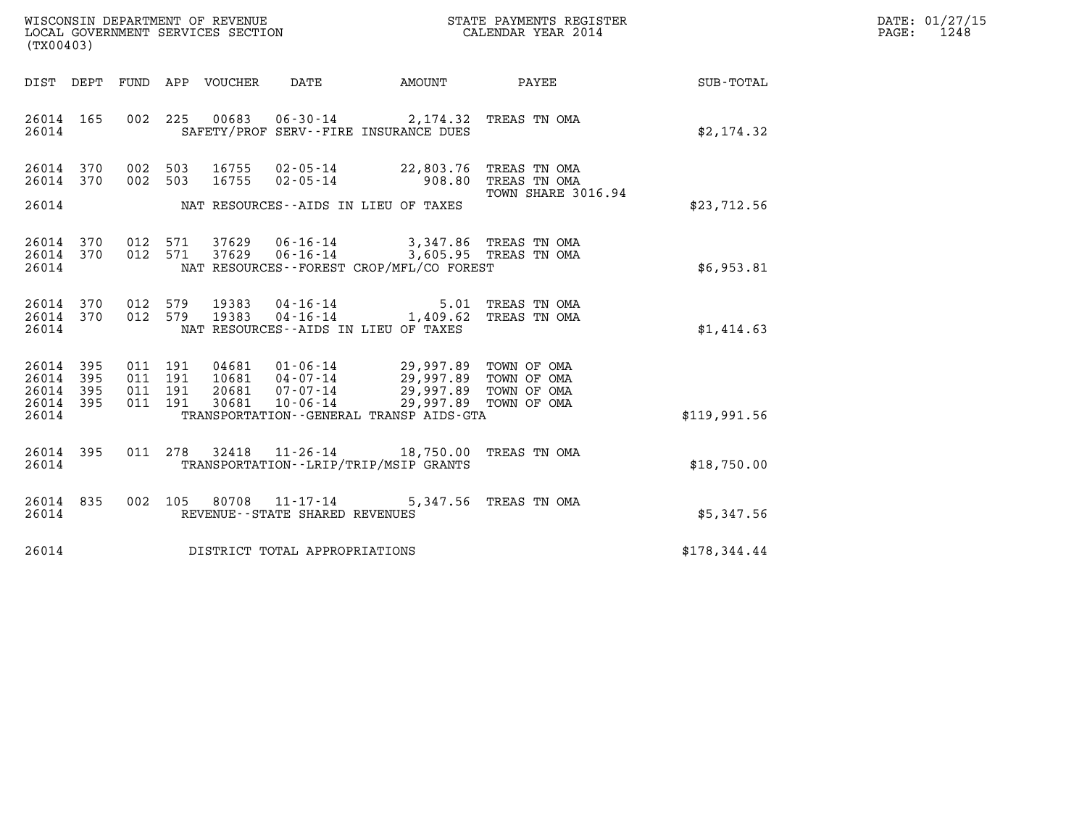| WISCONSIN DEPARTMENT OF REVENUE   | STATE PAYMENTS REGISTER | DATE: 01/27/15 |
|-----------------------------------|-------------------------|----------------|
| LOCAL GOVERNMENT SERVICES SECTION | CALENDAR YEAR 2014      | 1248<br>PAGE:  |

| (TX00403)                                                                                | LOCAL GOVERNMENT SERVICES SECTION                                                                                                | CALENDAR YEAR 2014                                        |              |
|------------------------------------------------------------------------------------------|----------------------------------------------------------------------------------------------------------------------------------|-----------------------------------------------------------|--------------|
| DIST DEPT                                                                                | DATE<br>FUND APP VOUCHER                                                                                                         | AMOUNT<br>PAYEE                                           | SUB-TOTAL    |
| 002<br>26014 165<br>26014                                                                | 225<br>00683  06-30-14  2,174.32  TREAS TN OMA<br>SAFETY/PROF SERV--FIRE INSURANCE DUES                                          |                                                           | \$2,174.32   |
| 26014 370<br>370<br>002<br>26014                                                         | 002 503<br>16755<br>$02 - 05 - 14$ 22,803.76<br>503<br>16755<br>$02 - 05 - 14$ 908.80                                            | TREAS TN OMA<br>TREAS TN OMA<br><b>TOWN SHARE 3016.94</b> |              |
| 26014                                                                                    | NAT RESOURCES--AIDS IN LIEU OF TAXES                                                                                             |                                                           | \$23,712.56  |
| 26014 370<br>26014<br>370<br>26014                                                       | 012 571 37629 06-16-14 3,347.86 TREAS TN OMA<br>012 571<br>37629<br>NAT RESOURCES - - FOREST CROP/MFL/CO FOREST                  | 06-16-14 3,605.95 TREAS TN OMA                            | \$6,953.81   |
| 26014 370<br>26014 370<br>26014                                                          | 012 579 19383 04-16-14 5.01 TREAS TN OMA<br>012 579 19383 04-16-14 1,409.62 TREAS TN OMA<br>NAT RESOURCES--AIDS IN LIEU OF TAXES |                                                           | \$1,414.63   |
| 26014<br>395<br>011<br>26014<br>395<br>011<br>26014<br>395<br>011<br>011<br>26014<br>395 | 191<br>04681  01-06-14  29,997.89  TOWN OF OMA<br>191<br>191<br>191                                                              |                                                           |              |
| 26014                                                                                    | TRANSPORTATION--GENERAL TRANSP AIDS-GTA                                                                                          |                                                           | \$119.991.56 |
| 395<br>26014<br>011<br>26014                                                             | 278<br>$11 - 26 - 14$ 18,750.00<br>32418<br>TRANSPORTATION - - LRIP/TRIP/MSIP GRANTS                                             | TREAS TN OMA                                              | \$18,750.00  |
| 002<br>26014 835<br>26014                                                                | 105<br>80708<br>REVENUE - - STATE SHARED REVENUES                                                                                | 11-17-14 5,347.56 TREAS TN OMA                            | \$5,347.56   |
| 26014                                                                                    | DISTRICT TOTAL APPROPRIATIONS                                                                                                    |                                                           | \$178,344.44 |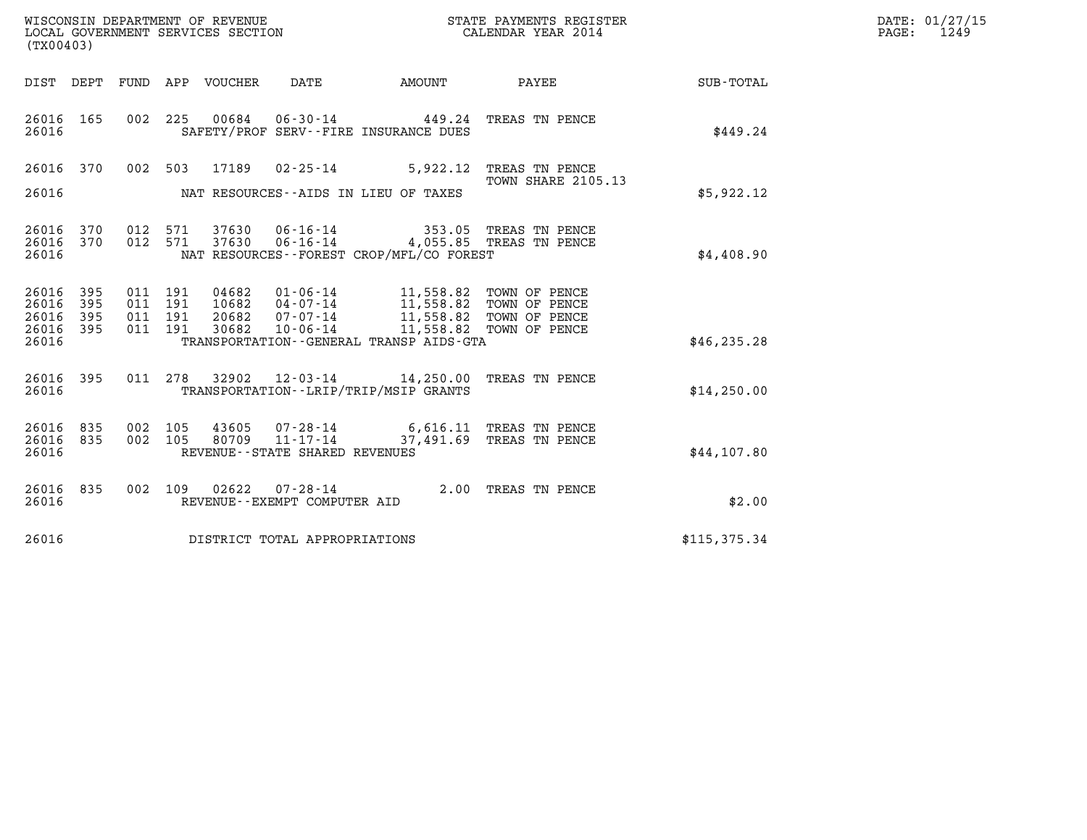| WISCONSIN DEPARTMENT OF REVENUE   | STATE PAYMENTS REGISTER | DATE: 01/27/15 |
|-----------------------------------|-------------------------|----------------|
| LOCAL GOVERNMENT SERVICES SECTION | CALENDAR YEAR 2014      | 1249<br>PAGE:  |

| (TX00403)                                                                                         | ST<br>WISCONSIN DEPARTMENT OF REVENUE<br>LOCAL GOVERNMENT SERVICES SECTION                                                                                                                  | STATE PAYMENTS REGISTER<br>CALENDAR YEAR 2014                                 |                                             |               |
|---------------------------------------------------------------------------------------------------|---------------------------------------------------------------------------------------------------------------------------------------------------------------------------------------------|-------------------------------------------------------------------------------|---------------------------------------------|---------------|
| DIST<br>DEPT<br>FUND                                                                              | DATE<br>APP VOUCHER                                                                                                                                                                         | <b>EXAMPLE THE PROPERTY OF AMOUNT</b>                                         | PAYEE                                       | SUB-TOTAL     |
| 26016<br>165<br>002<br>26016                                                                      | 225<br>00684 06-30-14 449.24<br>SAFETY/PROF SERV--FIRE INSURANCE DUES                                                                                                                       |                                                                               | TREAS TN PENCE                              | \$449.24      |
| 370<br>002<br>26016                                                                               | 503<br>17189<br>$02 - 25 - 14$                                                                                                                                                              | 5,922.12                                                                      | TREAS TN PENCE<br><b>TOWN SHARE 2105.13</b> |               |
| 26016                                                                                             | NAT RESOURCES--AIDS IN LIEU OF TAXES                                                                                                                                                        |                                                                               |                                             | \$5,922.12    |
| 26016<br>370<br>012<br>26016<br>370<br>012<br>26016                                               | $06 - 16 - 14$<br>571<br>37630<br>571<br>37630  06-16-14  4,055.85  TREAS TN PENCE<br>NAT RESOURCES--FOREST CROP/MFL/CO FOREST                                                              |                                                                               | 353.05 TREAS TN PENCE                       | \$4,408.90    |
| 26016<br>395<br>011<br>26016<br>395<br>011<br>26016<br>395<br>011<br>26016<br>395<br>011<br>26016 | 191<br>04682<br>01-06-14 11,558.82 TOWN OF PENCE<br>191<br>10682<br>04-07-14<br>191<br>20682<br>$07 - 07 - 14$<br>191<br>30682<br>$10 - 06 - 14$<br>TRANSPORTATION--GENERAL TRANSP AIDS-GTA | 11,558.82 TOWN OF PENCE<br>11,558.82 TOWN OF PENCE<br>11,558.82 TOWN OF PENCE |                                             | \$46, 235.28  |
| 395<br>011<br>26016<br>26016                                                                      | $12 - 03 - 14$ $14, 250, 00$<br>32902<br>278<br>TRANSPORTATION - - LRIP/TRIP/MSIP GRANTS                                                                                                    |                                                                               | TREAS TN PENCE                              | \$14, 250.00  |
| 835<br>002<br>26016<br>002<br>26016<br>835<br>26016                                               | 105<br>43605<br>07-28-14 6,616.11 TREAS TN PENCE<br>11-17-14 37,491.69 TREAS TN PENCE<br>105<br>$11 - 17 - 14$<br>80709<br>REVENUE - - STATE SHARED REVENUES                                |                                                                               |                                             | \$44, 107.80  |
| 26016<br>835<br>002<br>26016                                                                      | 109<br>02622<br>$07 - 28 - 14$<br>REVENUE--EXEMPT COMPUTER AID                                                                                                                              | 2.00                                                                          | TREAS TN PENCE                              | \$2.00        |
| 26016                                                                                             | DISTRICT TOTAL APPROPRIATIONS                                                                                                                                                               |                                                                               |                                             | \$115, 375.34 |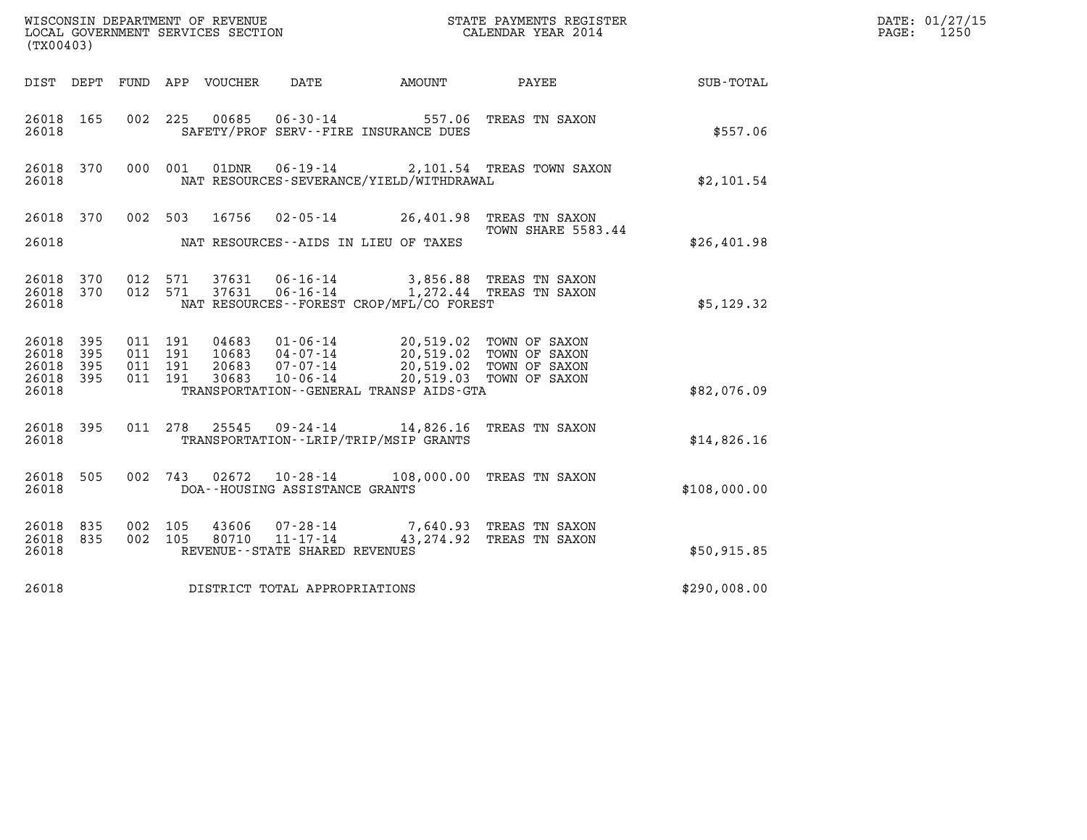| (TX00403)                                             |     |                                          |         |                            |                                                                 |                                                                                                                                                                            |                                                      |                                                     | DATE: 01/27/15<br>$\mathtt{PAGE:}$<br>1250 |
|-------------------------------------------------------|-----|------------------------------------------|---------|----------------------------|-----------------------------------------------------------------|----------------------------------------------------------------------------------------------------------------------------------------------------------------------------|------------------------------------------------------|-----------------------------------------------------|--------------------------------------------|
|                                                       |     |                                          |         | DIST DEPT FUND APP VOUCHER | DATE                                                            | AMOUNT                                                                                                                                                                     | PAYEE                                                | $\begin{array}{lcl} \text{SUB - TOTAL} \end{array}$ |                                            |
| 26018 165<br>26018                                    |     |                                          |         |                            |                                                                 | 002 225 00685 06-30-14 557.06<br>SAFETY/PROF SERV--FIRE INSURANCE DUES                                                                                                     | TREAS TN SAXON                                       | \$557.06                                            |                                            |
| 26018 370<br>26018                                    |     | 000 001                                  |         |                            |                                                                 | NAT RESOURCES-SEVERANCE/YIELD/WITHDRAWAL                                                                                                                                   | 01DNR  06-19-14  2,101.54 TREAS TOWN SAXON           | \$2,101.54                                          |                                            |
| 26018 370<br>26018                                    |     |                                          |         | 002 503 16756              |                                                                 | 02-05-14 26,401.98 TREAS TN SAXON<br>NAT RESOURCES--AIDS IN LIEU OF TAXES                                                                                                  | TOWN SHARE 5583.44                                   | \$26,401.98                                         |                                            |
| 26018 370<br>26018 370<br>26018                       |     | 012 571<br>012 571                       |         | 37631                      | 37631 06-16-14                                                  | 06-16-14    1,272.44 TREAS TN SAXON<br>NAT RESOURCES--FOREST CROP/MFL/CO FOREST                                                                                            | 3,856.88 TREAS TN SAXON                              | \$5,129.32                                          |                                            |
| 26018 395<br>26018 395<br>26018<br>26018 395<br>26018 | 395 | 011 191<br>011 191<br>011 191<br>011 191 |         | 30683                      | 10-06-14                                                        | 04683 01-06-14 20,519.02 TOWN OF SAXON<br>10683 04-07-14 20,519.02 TOWN OF SAXON<br>20683 07-07-14 20,519.02 TOWN OF SAXON<br>TRANSPORTATION - - GENERAL TRANSP AIDS - GTA | 20,519.03 TOWN OF SAXON                              | \$82,076.09                                         |                                            |
| 26018 395<br>26018                                    |     |                                          | 011 278 | 25545                      |                                                                 | 09-24-14 14,826.16 TREAS TN SAXON<br>TRANSPORTATION - - LRIP/TRIP/MSIP GRANTS                                                                                              |                                                      | \$14,826.16                                         |                                            |
| 26018 505<br>26018                                    |     | 002 743                                  |         |                            | $02672$ $10-28-14$<br>DOA--HOUSING ASSISTANCE GRANTS            |                                                                                                                                                                            | 108,000.00 TREAS TN SAXON                            | \$108,000.00                                        |                                            |
| 26018 835<br>26018 835<br>26018                       |     | 002 105<br>002 105                       |         | 43606<br>80710             | 07-28-14<br>$11 - 17 - 14$<br>REVENUE - - STATE SHARED REVENUES |                                                                                                                                                                            | 7,640.93 TREAS TN SAXON<br>43, 274.92 TREAS TN SAXON | \$50,915.85                                         |                                            |
| 26018                                                 |     |                                          |         |                            | DISTRICT TOTAL APPROPRIATIONS                                   |                                                                                                                                                                            |                                                      | \$290,008.00                                        |                                            |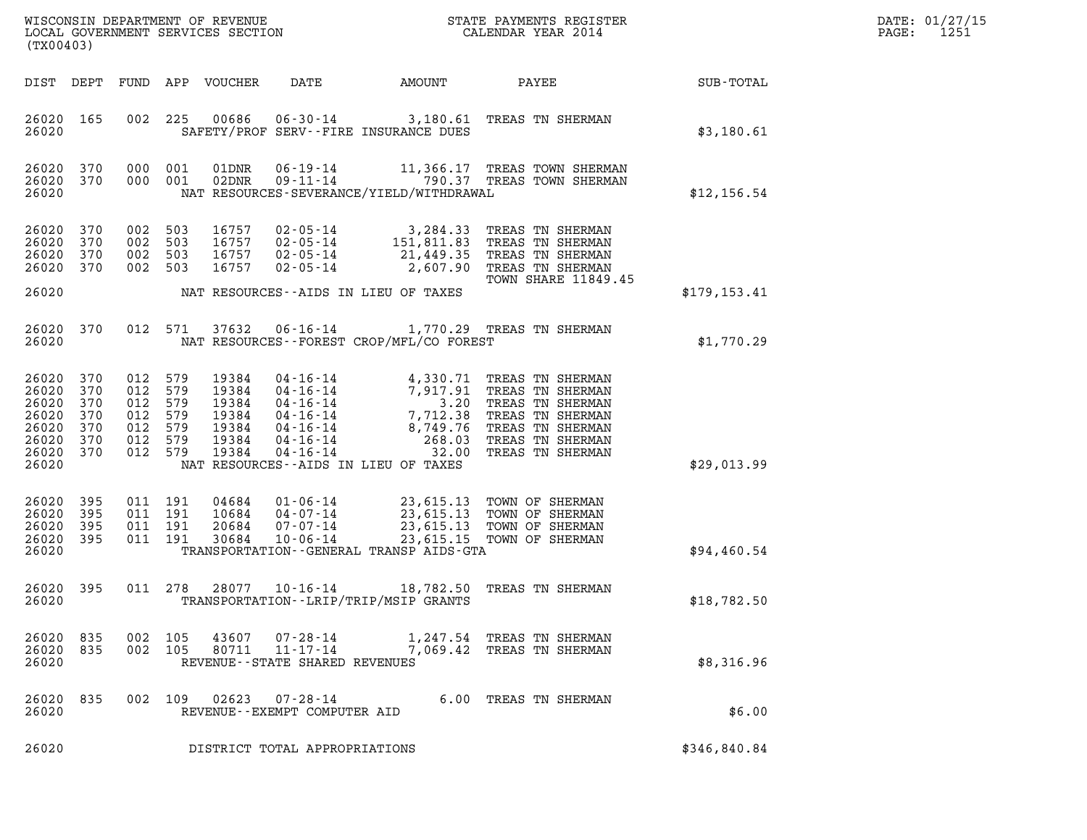| DATE: | 01/27/15 |
|-------|----------|
| PAGE: | 1251     |

| (TX00403)                                                            |                                               |                                                                           |                    |                                                             |                                |                                             | DATE: 01/27/15<br>$\mathtt{PAGE:}$<br>1251                                                                                                                                                                                                                                 |                  |  |
|----------------------------------------------------------------------|-----------------------------------------------|---------------------------------------------------------------------------|--------------------|-------------------------------------------------------------|--------------------------------|---------------------------------------------|----------------------------------------------------------------------------------------------------------------------------------------------------------------------------------------------------------------------------------------------------------------------------|------------------|--|
|                                                                      |                                               |                                                                           |                    | DIST DEPT FUND APP VOUCHER                                  | DATE                           | AMOUNT PAYEE                                |                                                                                                                                                                                                                                                                            | <b>SUB-TOTAL</b> |  |
| 26020 165<br>26020                                                   |                                               |                                                                           |                    |                                                             |                                | SAFETY/PROF SERV--FIRE INSURANCE DUES       | 002 225 00686 06-30-14 3,180.61 TREAS TN SHERMAN                                                                                                                                                                                                                           | \$3,180.61       |  |
| 26020<br>26020<br>26020                                              | 370<br>370                                    |                                                                           | 000 001<br>000 001 | 01DNR<br>02DNR                                              |                                | NAT RESOURCES-SEVERANCE/YIELD/WITHDRAWAL    | 06-19-14 11,366.17 TREAS TOWN SHERMAN<br>09-11-14 790.37 TREAS TOWN SHERMAN                                                                                                                                                                                                | \$12,156.54      |  |
| 26020<br>26020<br>26020<br>26020                                     | 370<br>370<br>370<br>370                      | 002<br>002 503<br>002 503                                                 | 503<br>002 503     | 16757<br>16757<br>16757<br>16757                            | 02-05-14                       |                                             | 02-05-14 3,284.33 TREAS TN SHERMAN<br>02-05-14 151,811.83 TREAS TN SHERMAN<br>02-05-14 21,449.35 TREAS TN SHERMAN<br>2,607.90 TREAS TN SHERMAN<br><b>TOWN SHARE 11849.45</b>                                                                                               |                  |  |
| 26020                                                                |                                               |                                                                           |                    |                                                             |                                | NAT RESOURCES--AIDS IN LIEU OF TAXES        |                                                                                                                                                                                                                                                                            | \$179, 153.41    |  |
| 26020 370<br>26020                                                   |                                               |                                                                           |                    |                                                             |                                | NAT RESOURCES - - FOREST CROP/MFL/CO FOREST | 012 571 37632 06-16-14 1,770.29 TREAS TN SHERMAN                                                                                                                                                                                                                           | \$1,770.29       |  |
| 26020<br>26020<br>26020<br>26020<br>26020<br>26020<br>26020<br>26020 | 370<br>370<br>370<br>370<br>370<br>370<br>370 | 012 579<br>012 579<br>012 579<br>012 579<br>012 579<br>012 579<br>012 579 |                    | 19384<br>19384<br>19384<br>19384<br>19384<br>19384<br>19384 |                                | NAT RESOURCES--AIDS IN LIEU OF TAXES        | 04-16-14<br>04-16-14<br>04-16-14<br>04-16-14<br>04-16-14<br>04-16-14<br>04-16-14<br>04-16-14<br>04-16-14<br>04-16-14<br>04-16-14<br>04-16-14<br>04-16-14<br>04-16-14<br>04-16-14<br>04-16-14<br>04-16-14<br>04-16-14<br>04-16-14<br>04-16-14<br>04-16-14<br>04-16-14<br>04 | \$29,013.99      |  |
| 26020<br>26020<br>26020<br>26020<br>26020                            | 395<br>395<br>395<br>395                      | 011 191<br>011 191                                                        | 011 191<br>011 191 | 04684<br>10684<br>20684<br>30684                            |                                | TRANSPORTATION--GENERAL TRANSP AIDS-GTA     | 01-06-14 23,615.13 TOWN OF SHERMAN<br>04-07-14 23,615.13 TOWN OF SHERMAN<br>07-07-14 23,615.13 TOWN OF SHERMAN<br>10-06-14 23,615.15 TOWN OF SHERMAN                                                                                                                       | \$94,460.54      |  |
| 26020 395<br>26020                                                   |                                               |                                                                           | 011 278            |                                                             | 28077 10-16-14                 | TRANSPORTATION - - LRIP/TRIP/MSIP GRANTS    | 18,782.50 TREAS TN SHERMAN                                                                                                                                                                                                                                                 | \$18,782.50      |  |
| 26020<br>26020                                                       | 835                                           |                                                                           | 002 105            |                                                             | REVENUE--STATE SHARED REVENUES |                                             | 26020 835 002 105 43607 07-28-14 1,247.54 TREAS TN SHERMAN<br>80711 11-17-14 7,069.42 TREAS TN SHERMAN                                                                                                                                                                     | \$8,316.96       |  |
| 26020 835<br>26020                                                   |                                               |                                                                           |                    |                                                             | REVENUE--EXEMPT COMPUTER AID   |                                             | 002 109 02623 07-28-14 6.00 TREAS TN SHERMAN                                                                                                                                                                                                                               | \$6.00           |  |
| 26020                                                                |                                               |                                                                           |                    |                                                             | DISTRICT TOTAL APPROPRIATIONS  |                                             |                                                                                                                                                                                                                                                                            | \$346,840.84     |  |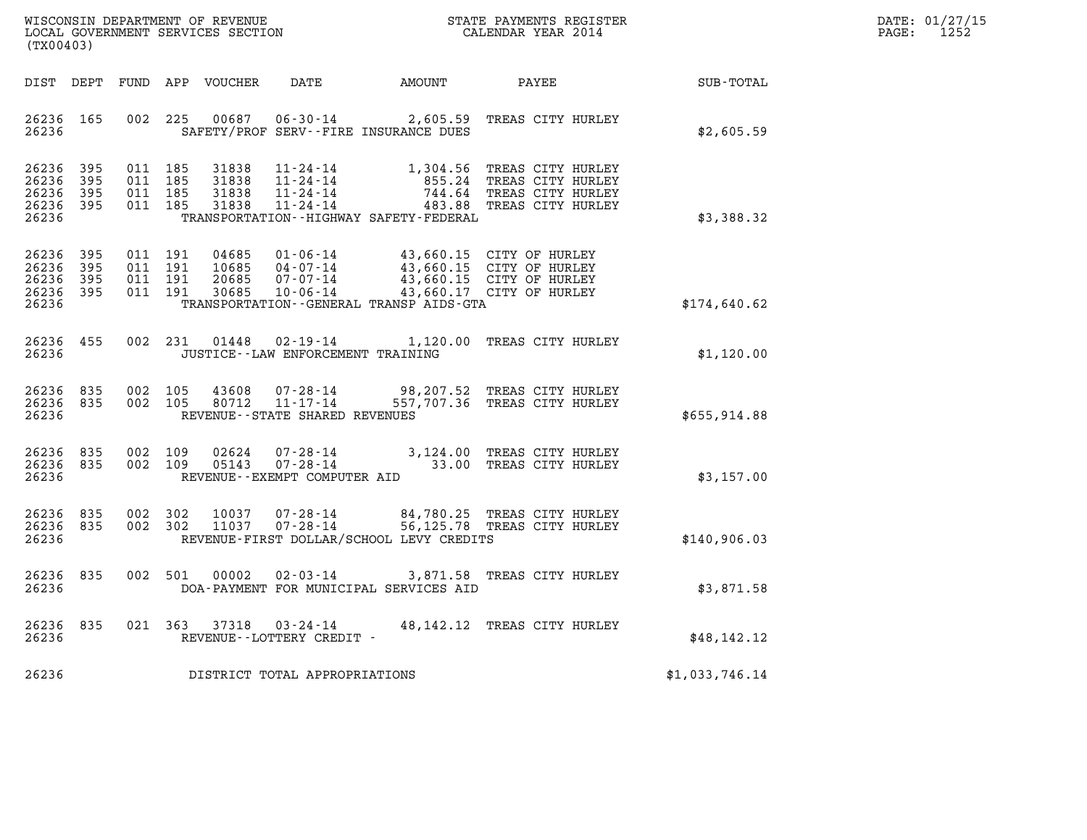| WISCONSIN DEPARTMENT OF REVENUE   | STATE PAYMENTS REGISTER | DATE: 01/27/15 |
|-----------------------------------|-------------------------|----------------|
| LOCAL GOVERNMENT SERVICES SECTION | CALENDAR YEAR 2014      | 1252<br>PAGE:  |

| (TX00403)                                                             |                          |                                                              |                                                                      |                                                                                       |                                                                                                              |                  |
|-----------------------------------------------------------------------|--------------------------|--------------------------------------------------------------|----------------------------------------------------------------------|---------------------------------------------------------------------------------------|--------------------------------------------------------------------------------------------------------------|------------------|
| DIST<br>DEPT                                                          | FUND                     | APP<br>VOUCHER                                               |                                                                      | DATE AMOUNT                                                                           | <b>PAYEE</b>                                                                                                 | <b>SUB-TOTAL</b> |
| 26236<br>165<br>26236                                                 | 002                      | 225<br>00687                                                 | $06 - 30 - 14$                                                       | 2,605.59<br>SAFETY/PROF SERV--FIRE INSURANCE DUES                                     | TREAS CITY HURLEY                                                                                            | \$2,605.59       |
| 395<br>26236<br>26236<br>395<br>26236<br>395<br>26236<br>395<br>26236 | 011<br>011<br>011<br>011 | 185<br>31838<br>185<br>31838<br>185<br>31838<br>185<br>31838 | $11 - 24 - 14$<br>$11 - 24 - 14$<br>$11 - 24 - 14$<br>$11 - 24 - 14$ | 1,304.56<br>855.24<br>744.64<br>483.88<br>TRANSPORTATION - - HIGHWAY SAFETY - FEDERAL | TREAS CITY HURLEY<br>TREAS CITY HURLEY<br>TREAS CITY HURLEY<br>TREAS CITY HURLEY                             | \$3,388.32       |
| 26236<br>395<br>26236<br>395<br>26236<br>395<br>26236<br>395<br>26236 | 011<br>011<br>011<br>011 | 191<br>04685<br>191<br>10685<br>191<br>20685<br>191<br>30685 | $01 - 06 - 14$<br>$04 - 07 - 14$<br>$07 - 07 - 14$<br>$10 - 06 - 14$ | TRANSPORTATION--GENERAL TRANSP AIDS-GTA                                               | 43,660.15 CITY OF HURLEY<br>43,660.15 CITY OF HURLEY<br>43,660.15 CITY OF HURLEY<br>43,660.17 CITY OF HURLEY | \$174,640.62     |
| 26236<br>455<br>26236                                                 | 002                      | 231<br>01448                                                 | $02 - 19 - 14$<br>JUSTICE - - LAW ENFORCEMENT TRAINING               |                                                                                       | 1,120.00 TREAS CITY HURLEY                                                                                   | \$1,120.00       |
| 26236<br>835<br>26236<br>835<br>26236                                 | 002<br>002               | 105<br>43608<br>105<br>80712                                 | 07-28-14<br>$11 - 17 - 14$<br>REVENUE - - STATE SHARED REVENUES      |                                                                                       | 98,207.52 TREAS CITY HURLEY<br>557,707.36 TREAS CITY HURLEY                                                  | \$655,914.88     |
| 835<br>26236<br>26236<br>835<br>26236                                 | 002<br>002               | 109<br>02624<br>05143<br>109                                 | $07 - 28 - 14$<br>$07 - 28 - 14$<br>REVENUE--EXEMPT COMPUTER AID     | 33.00                                                                                 | 3,124.00 TREAS CITY HURLEY<br>TREAS CITY HURLEY                                                              | \$3,157.00       |
| 26236<br>835<br>26236<br>835<br>26236                                 | 002<br>002               | 302<br>10037<br>302<br>11037                                 | $07 - 28 - 14$                                                       | REVENUE-FIRST DOLLAR/SCHOOL LEVY CREDITS                                              | 84,780.25 TREAS CITY HURLEY<br>07-28-14 56,125.78 TREAS CITY HURLEY                                          | \$140,906.03     |
| 835<br>26236<br>26236                                                 | 002                      | 501<br>00002                                                 | $02 - 03 - 14$                                                       | 3,871.58<br>DOA-PAYMENT FOR MUNICIPAL SERVICES AID                                    | TREAS CITY HURLEY                                                                                            | \$3,871.58       |
| 26236<br>835<br>26236                                                 | 021                      | 363<br>37318                                                 | $03 - 24 - 14$<br>REVENUE--LOTTERY CREDIT -                          | 48,142.12                                                                             | TREAS CITY HURLEY                                                                                            | \$48, 142.12     |
| 26236                                                                 |                          | DISTRICT TOTAL APPROPRIATIONS                                |                                                                      |                                                                                       |                                                                                                              | \$1,033,746.14   |